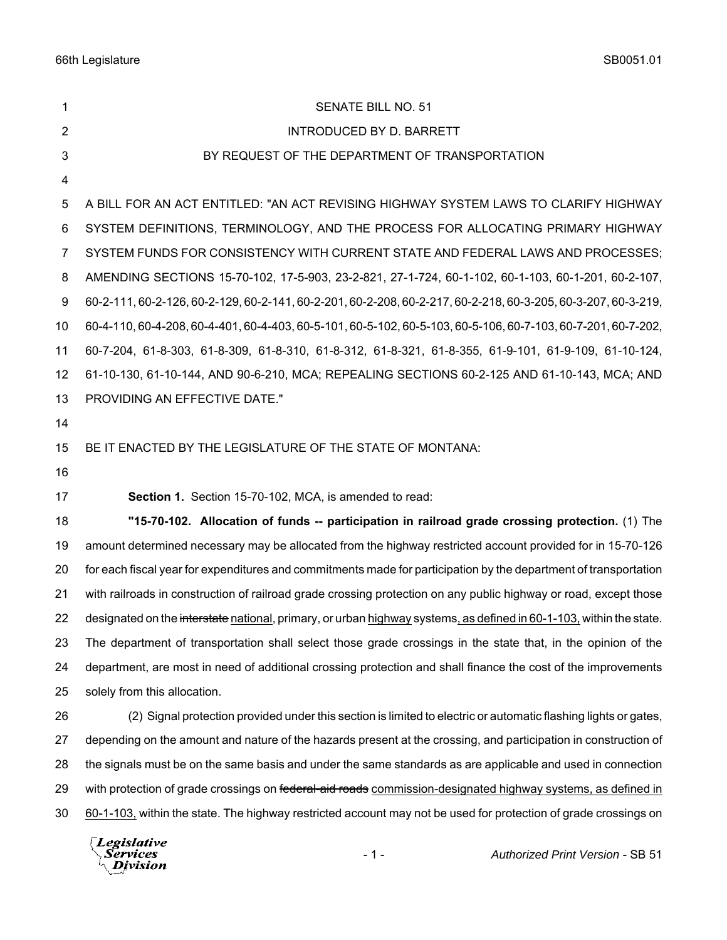| 1              | <b>SENATE BILL NO. 51</b>                                                                                           |
|----------------|---------------------------------------------------------------------------------------------------------------------|
| $\overline{2}$ | <b>INTRODUCED BY D. BARRETT</b>                                                                                     |
| 3              | BY REQUEST OF THE DEPARTMENT OF TRANSPORTATION                                                                      |
| 4              |                                                                                                                     |
| 5              | A BILL FOR AN ACT ENTITLED: "AN ACT REVISING HIGHWAY SYSTEM LAWS TO CLARIFY HIGHWAY                                 |
| 6              | SYSTEM DEFINITIONS, TERMINOLOGY, AND THE PROCESS FOR ALLOCATING PRIMARY HIGHWAY                                     |
| $\overline{7}$ | SYSTEM FUNDS FOR CONSISTENCY WITH CURRENT STATE AND FEDERAL LAWS AND PROCESSES;                                     |
| 8              | AMENDING SECTIONS 15-70-102, 17-5-903, 23-2-821, 27-1-724, 60-1-102, 60-1-103, 60-1-201, 60-2-107,                  |
| 9              | 60-2-111, 60-2-126, 60-2-129, 60-2-141, 60-2-201, 60-2-208, 60-2-217, 60-2-218, 60-3-205, 60-3-207, 60-3-219,       |
| 10             | 60-4-110, 60-4-208, 60-4-401, 60-4-403, 60-5-101, 60-5-102, 60-5-103, 60-5-106, 60-7-103, 60-7-201, 60-7-202,       |
| 11             | 60-7-204, 61-8-303, 61-8-309, 61-8-310, 61-8-312, 61-8-321, 61-8-355, 61-9-101, 61-9-109, 61-10-124,                |
| 12             | 61-10-130, 61-10-144, AND 90-6-210, MCA; REPEALING SECTIONS 60-2-125 AND 61-10-143, MCA; AND                        |
| 13             | PROVIDING AN EFFECTIVE DATE."                                                                                       |
| 14             |                                                                                                                     |
| 15             | BE IT ENACTED BY THE LEGISLATURE OF THE STATE OF MONTANA:                                                           |
| 16             |                                                                                                                     |
| 17             | Section 1. Section 15-70-102, MCA, is amended to read:                                                              |
| 18             | "15-70-102. Allocation of funds -- participation in railroad grade crossing protection. (1) The                     |
| 19             | amount determined necessary may be allocated from the highway restricted account provided for in 15-70-126          |
| 20             | for each fiscal year for expenditures and commitments made for participation by the department of transportation    |
| 21             | with railroads in construction of railroad grade crossing protection on any public highway or road, except those    |
| 22             | designated on the interstate national, primary, or urban highway systems, as defined in 60-1-103, within the state. |
| 23             | The department of transportation shall select those grade crossings in the state that, in the opinion of the        |
| 24             | department, are most in need of additional crossing protection and shall finance the cost of the improvements       |
| 25             | solely from this allocation.                                                                                        |
| 26             | (2) Signal protection provided under this section is limited to electric or automatic flashing lights or gates,     |
| 27             | depending on the amount and nature of the hazards present at the crossing, and participation in construction of     |
| 28             | the signals must be on the same basis and under the same standards as are applicable and used in connection         |
| 29             | with protection of grade crossings on federal-aid roads commission-designated highway systems, as defined in        |
| 30             | 60-1-103, within the state. The highway restricted account may not be used for protection of grade crossings on     |
|                | $\Box$ originative                                                                                                  |

Legislative<br><sub>\</sub>Services<br><sup>\</sup>\_Division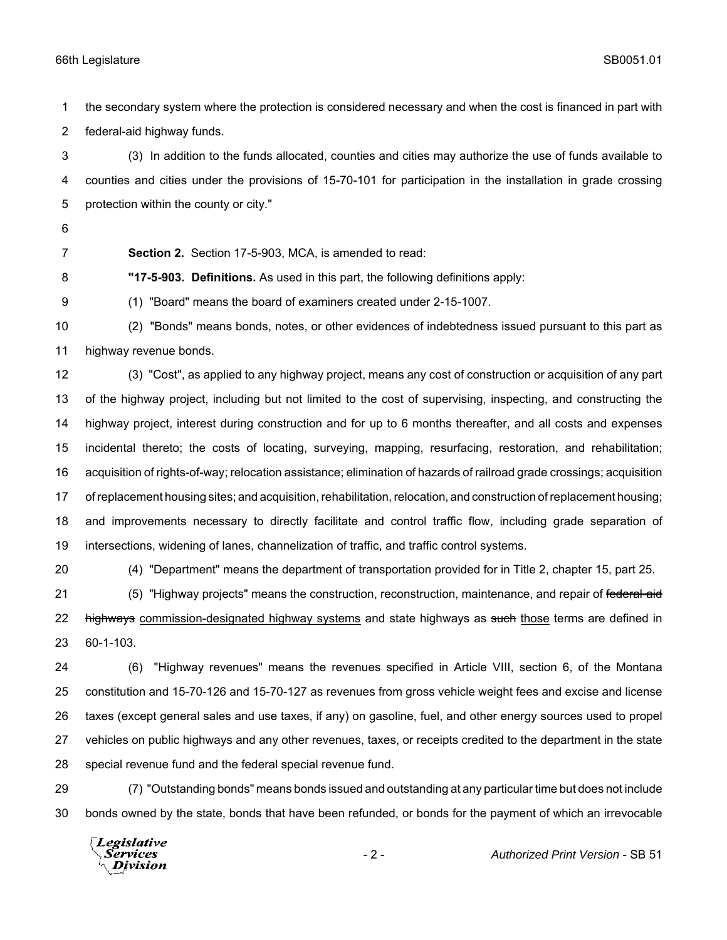the secondary system where the protection is considered necessary and when the cost is financed in part with federal-aid highway funds.

 (3) In addition to the funds allocated, counties and cities may authorize the use of funds available to counties and cities under the provisions of 15-70-101 for participation in the installation in grade crossing protection within the county or city."

- 
- 

**Section 2.** Section 17-5-903, MCA, is amended to read:

**"17-5-903. Definitions.** As used in this part, the following definitions apply:

(1) "Board" means the board of examiners created under 2-15-1007.

 (2) "Bonds" means bonds, notes, or other evidences of indebtedness issued pursuant to this part as highway revenue bonds.

 (3) "Cost", as applied to any highway project, means any cost of construction or acquisition of any part of the highway project, including but not limited to the cost of supervising, inspecting, and constructing the highway project, interest during construction and for up to 6 months thereafter, and all costs and expenses incidental thereto; the costs of locating, surveying, mapping, resurfacing, restoration, and rehabilitation; acquisition of rights-of-way; relocation assistance; elimination of hazards of railroad grade crossings; acquisition of replacement housing sites; and acquisition, rehabilitation, relocation, and construction of replacement housing; and improvements necessary to directly facilitate and control traffic flow, including grade separation of intersections, widening of lanes, channelization of traffic, and traffic control systems.

(4) "Department" means the department of transportation provided for in Title 2, chapter 15, part 25.

21 (5) "Highway projects" means the construction, reconstruction, maintenance, and repair of federal-aid 22 highways commission-designated highway systems and state highways as such those terms are defined in 60-1-103.

 (6) "Highway revenues" means the revenues specified in Article VIII, section 6, of the Montana constitution and 15-70-126 and 15-70-127 as revenues from gross vehicle weight fees and excise and license taxes (except general sales and use taxes, if any) on gasoline, fuel, and other energy sources used to propel vehicles on public highways and any other revenues, taxes, or receipts credited to the department in the state special revenue fund and the federal special revenue fund.

 (7) "Outstanding bonds" means bonds issued and outstanding at any particular time but does not include bonds owned by the state, bonds that have been refunded, or bonds for the payment of which an irrevocable

**Legislative** Services **Division**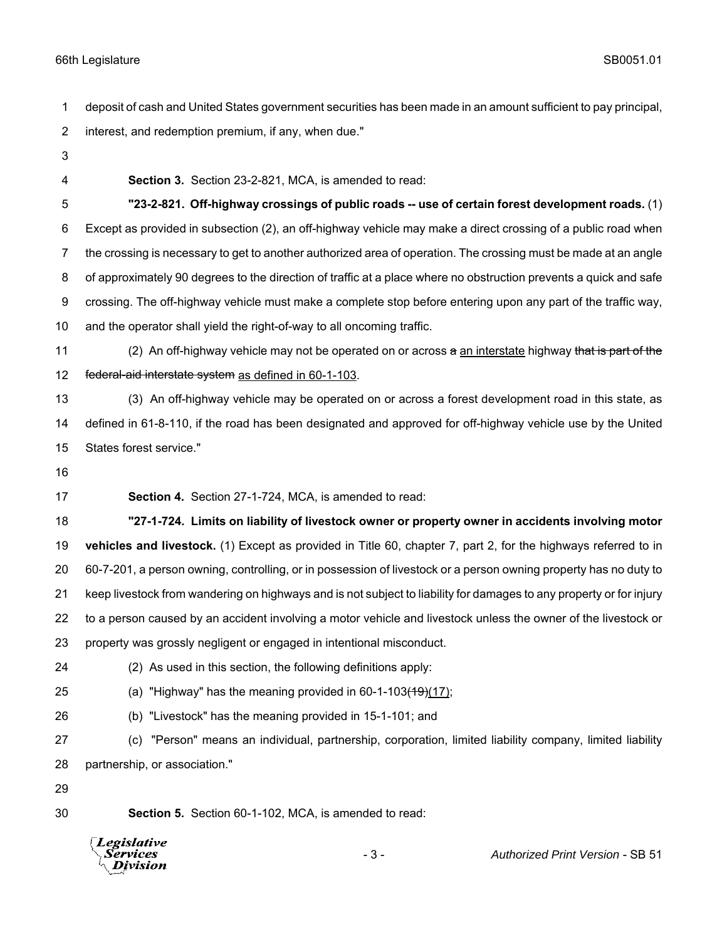deposit of cash and United States government securities has been made in an amount sufficient to pay principal, interest, and redemption premium, if any, when due."

- 
- 

**Section 3.** Section 23-2-821, MCA, is amended to read:

 **"23-2-821. Off-highway crossings of public roads -- use of certain forest development roads.** (1) Except as provided in subsection (2), an off-highway vehicle may make a direct crossing of a public road when the crossing is necessary to get to another authorized area of operation. The crossing must be made at an angle of approximately 90 degrees to the direction of traffic at a place where no obstruction prevents a quick and safe crossing. The off-highway vehicle must make a complete stop before entering upon any part of the traffic way, and the operator shall yield the right-of-way to all oncoming traffic.

11 (2) An off-highway vehicle may not be operated on or across a an interstate highway that is part of the 12 federal-aid interstate system as defined in 60-1-103.

 (3) An off-highway vehicle may be operated on or across a forest development road in this state, as defined in 61-8-110, if the road has been designated and approved for off-highway vehicle use by the United States forest service."

**Section 4.** Section 27-1-724, MCA, is amended to read:

 **"27-1-724. Limits on liability of livestock owner or property owner in accidents involving motor vehicles and livestock.** (1) Except as provided in Title 60, chapter 7, part 2, for the highways referred to in 60-7-201, a person owning, controlling, or in possession of livestock or a person owning property has no duty to keep livestock from wandering on highways and is not subject to liability for damages to any property or for injury to a person caused by an accident involving a motor vehicle and livestock unless the owner of the livestock or property was grossly negligent or engaged in intentional misconduct.

- 
- (2) As used in this section, the following definitions apply:
- 25 (a) "Highway" has the meaning provided in  $60-1-103(19)(17)$ ;
- (b) "Livestock" has the meaning provided in 15-1-101; and
- (c) "Person" means an individual, partnership, corporation, limited liability company, limited liability partnership, or association."
- 

**Section 5.** Section 60-1-102, MCA, is amended to read:



- 3 - *Authorized Print Version* - SB 51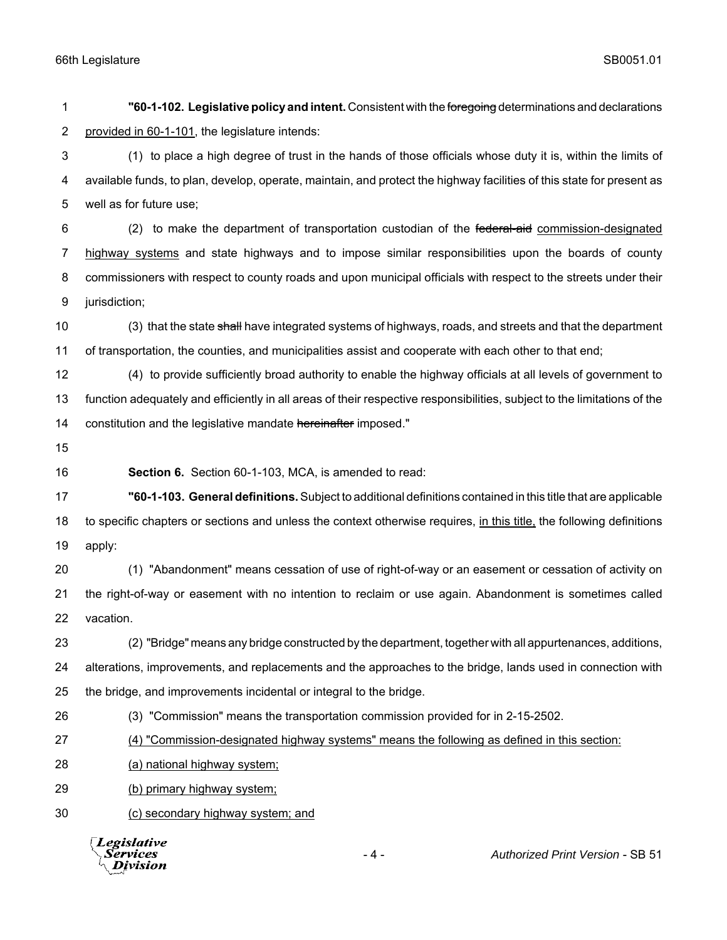**"60-1-102. Legislative policy and intent.** Consistent with the foregoing determinations and declarations 2 provided in 60-1-101, the legislature intends: (1) to place a high degree of trust in the hands of those officials whose duty it is, within the limits of available funds, to plan, develop, operate, maintain, and protect the highway facilities of this state for present as well as for future use; 6 (2) to make the department of transportation custodian of the federal-aid commission-designated highway systems and state highways and to impose similar responsibilities upon the boards of county commissioners with respect to county roads and upon municipal officials with respect to the streets under their jurisdiction; 10 (3) that the state shall have integrated systems of highways, roads, and streets and that the department of transportation, the counties, and municipalities assist and cooperate with each other to that end; (4) to provide sufficiently broad authority to enable the highway officials at all levels of government to function adequately and efficiently in all areas of their respective responsibilities, subject to the limitations of the 14 constitution and the legislative mandate hereinafter imposed." **Section 6.** Section 60-1-103, MCA, is amended to read: **"60-1-103. General definitions.** Subject to additional definitions contained in this title that are applicable to specific chapters or sections and unless the context otherwise requires, in this title, the following definitions apply: (1) "Abandonment" means cessation of use of right-of-way or an easement or cessation of activity on the right-of-way or easement with no intention to reclaim or use again. Abandonment is sometimes called vacation. (2) "Bridge" means any bridge constructed by the department, together with all appurtenances, additions, alterations, improvements, and replacements and the approaches to the bridge, lands used in connection with the bridge, and improvements incidental or integral to the bridge. (3) "Commission" means the transportation commission provided for in 2-15-2502. (4) "Commission-designated highway systems" means the following as defined in this section: (a) national highway system; (b) primary highway system; (c) secondary highway system; and

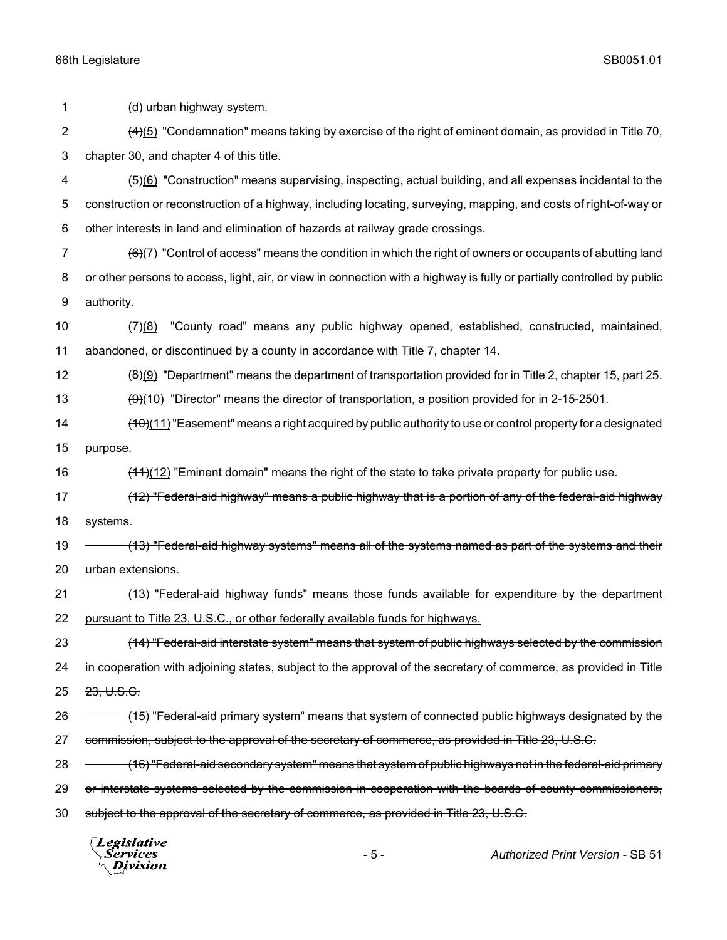1 (d) urban highway system. 2 (4)(5) "Condemnation" means taking by exercise of the right of eminent domain, as provided in Title 70, 3 chapter 30, and chapter 4 of this title. 4 (5)(6) "Construction" means supervising, inspecting, actual building, and all expenses incidental to the 5 construction or reconstruction of a highway, including locating, surveying, mapping, and costs of right-of-way or 6 other interests in land and elimination of hazards at railway grade crossings. 7  $(6)(7)$  "Control of access" means the condition in which the right of owners or occupants of abutting land 8 or other persons to access, light, air, or view in connection with a highway is fully or partially controlled by public 9 authority. 10  $(7)(8)$  "County road" means any public highway opened, established, constructed, maintained, 11 abandoned, or discontinued by a county in accordance with Title 7, chapter 14. 12  $\left(8\right)\left(9\right)$  "Department" means the department of transportation provided for in Title 2, chapter 15, part 25. 13  $\left(9\right)(10)$  "Director" means the director of transportation, a position provided for in 2-15-2501. 14 (10)(11) "Easement" means a right acquired by public authority to use or control property for a designated 15 purpose. 16 (11)(12) "Eminent domain" means the right of the state to take private property for public use. 17 (12) "Federal-aid highway" means a public highway that is a portion of any of the federal-aid highway 18 systems. 19 (13) "Federal-aid highway systems" means all of the systems named as part of the systems and their 20 urban extensions. 21 (13) "Federal-aid highway funds" means those funds available for expenditure by the department 22 pursuant to Title 23, U.S.C., or other federally available funds for highways. 23 (14) "Federal-aid interstate system" means that system of public highways selected by the commission 24 in cooperation with adjoining states, subject to the approval of the secretary of commerce, as provided in Title 25 23, U.S.C. 26 (15) "Federal-aid primary system" means that system of connected public highways designated by the 27 commission, subject to the approval of the secretary of commerce, as provided in Title 23, U.S.C. 28 – (16) "Federal-aid secondary system" means that system of public highways not in the federal-aid primary 29 or interstate systems selected by the commission in cooperation with the boards of county commissioners, 30 subject to the approval of the secretary of commerce, as provided in Title 23, U.S.C. Legislative

*Services* Division

- 5 - *Authorized Print Version* - SB 51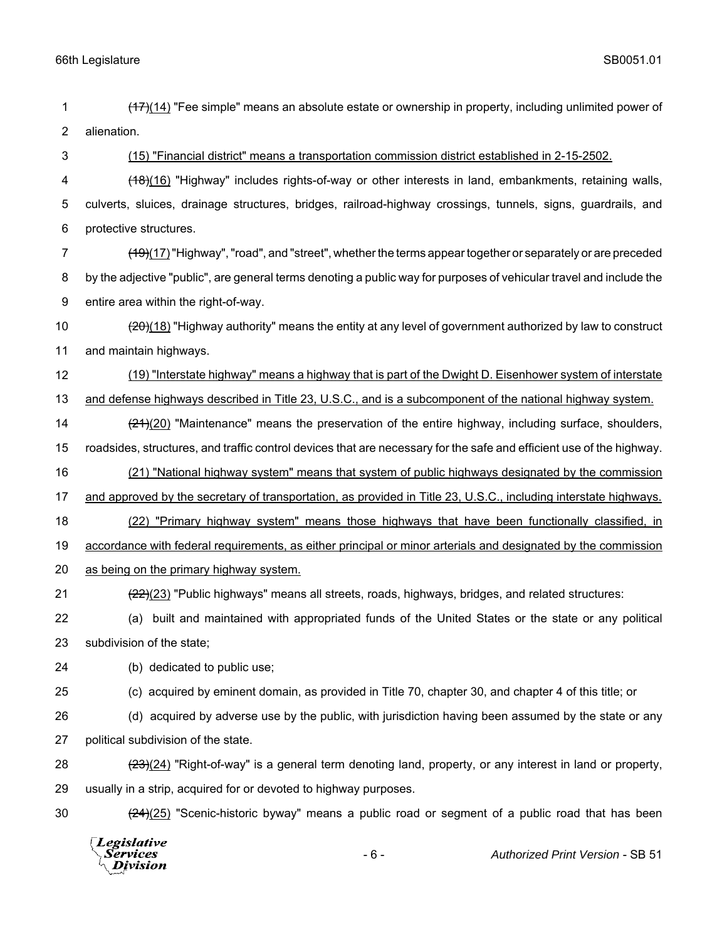- 1 (17)(14) "Fee simple" means an absolute estate or ownership in property, including unlimited power of 2 alienation.
- 

3 (15) "Financial district" means a transportation commission district established in 2-15-2502.

- 4 (18)(16) "Highway" includes rights-of-way or other interests in land, embankments, retaining walls, 5 culverts, sluices, drainage structures, bridges, railroad-highway crossings, tunnels, signs, guardrails, and 6 protective structures.
- 7 (19)(17) "Highway", "road", and "street", whether the terms appear together or separately or are preceded 8 by the adjective "public", are general terms denoting a public way for purposes of vehicular travel and include the 9 entire area within the right-of-way.
- 10 (20)(18) "Highway authority" means the entity at any level of government authorized by law to construct 11 and maintain highways.
- 12 (19) "Interstate highway" means a highway that is part of the Dwight D. Eisenhower system of interstate 13 and defense highways described in Title 23, U.S.C., and is a subcomponent of the national highway system.
- 14 (21)(20) "Maintenance" means the preservation of the entire highway, including surface, shoulders,
- 15 roadsides, structures, and traffic control devices that are necessary for the safe and efficient use of the highway.
- 16 (21) "National highway system" means that system of public highways designated by the commission
- 17 and approved by the secretary of transportation, as provided in Title 23, U.S.C., including interstate highways.
- 18 (22) "Primary highway system" means those highways that have been functionally classified, in
- 19 accordance with federal requirements, as either principal or minor arterials and designated by the commission
- 20 as being on the primary highway system.
- 21 (22)(23) "Public highways" means all streets, roads, highways, bridges, and related structures:
- 22 (a) built and maintained with appropriated funds of the United States or the state or any political 23 subdivision of the state;
- 24 (b) dedicated to public use;
- 

- 25 (c) acquired by eminent domain, as provided in Title 70, chapter 30, and chapter 4 of this title; or
- 26 (d) acquired by adverse use by the public, with jurisdiction having been assumed by the state or any 27 political subdivision of the state.
- 28 (23)(24) "Right-of-way" is a general term denoting land, property, or any interest in land or property, 29 usually in a strip, acquired for or devoted to highway purposes.
- 

30  $\left(24\right)(25)$  "Scenic-historic byway" means a public road or segment of a public road that has been

Legislative *Services* Division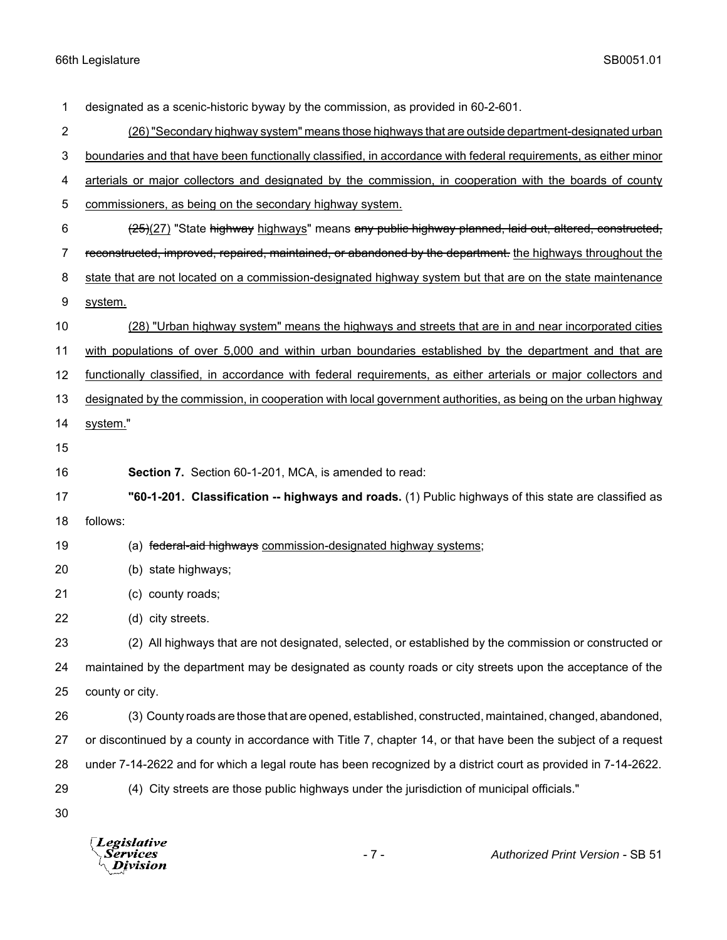designated as a scenic-historic byway by the commission, as provided in 60-2-601. (26) "Secondary highway system" means those highways that are outside department-designated urban boundaries and that have been functionally classified, in accordance with federal requirements, as either minor 4 arterials or major collectors and designated by the commission, in cooperation with the boards of county commissioners, as being on the secondary highway system. 6 (25)(27) "State highway highways" means any public highway planned, laid out, altered, constructed, 7 reconstructed, improved, repaired, maintained, or abandoned by the department. the highways throughout the 8 state that are not located on a commission-designated highway system but that are on the state maintenance system. (28) "Urban highway system" means the highways and streets that are in and near incorporated cities with populations of over 5,000 and within urban boundaries established by the department and that are functionally classified, in accordance with federal requirements, as either arterials or major collectors and designated by the commission, in cooperation with local government authorities, as being on the urban highway 14 system." **Section 7.** Section 60-1-201, MCA, is amended to read: **"60-1-201. Classification -- highways and roads.** (1) Public highways of this state are classified as follows: 19 (a) federal-aid highways commission-designated highway systems; (b) state highways; (c) county roads; (d) city streets. (2) All highways that are not designated, selected, or established by the commission or constructed or maintained by the department may be designated as county roads or city streets upon the acceptance of the county or city. (3) County roads are those that are opened, established, constructed, maintained, changed, abandoned, or discontinued by a county in accordance with Title 7, chapter 14, or that have been the subject of a request under 7-14-2622 and for which a legal route has been recognized by a district court as provided in 7-14-2622. (4) City streets are those public highways under the jurisdiction of municipal officials." 

**Legislative** Division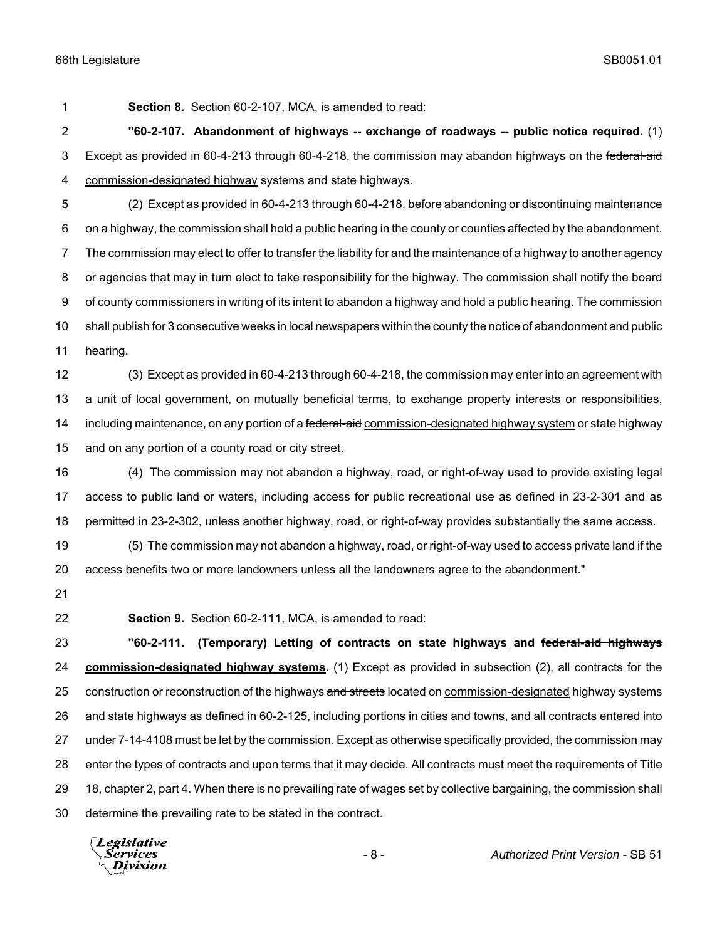**Section 8.** Section 60-2-107, MCA, is amended to read:

 **"60-2-107. Abandonment of highways -- exchange of roadways -- public notice required.** (1) 3 Except as provided in 60-4-213 through 60-4-218, the commission may abandon highways on the federal-aid commission-designated highway systems and state highways.

 (2) Except as provided in 60-4-213 through 60-4-218, before abandoning or discontinuing maintenance on a highway, the commission shall hold a public hearing in the county or counties affected by the abandonment. The commission may elect to offer to transfer the liability for and the maintenance of a highway to another agency or agencies that may in turn elect to take responsibility for the highway. The commission shall notify the board of county commissioners in writing of its intent to abandon a highway and hold a public hearing. The commission shall publish for 3 consecutive weeks in local newspapers within the county the notice of abandonment and public hearing.

 (3) Except as provided in 60-4-213 through 60-4-218, the commission may enter into an agreement with a unit of local government, on mutually beneficial terms, to exchange property interests or responsibilities, 14 including maintenance, on any portion of a federal-aid commission-designated highway system or state highway and on any portion of a county road or city street.

 (4) The commission may not abandon a highway, road, or right-of-way used to provide existing legal access to public land or waters, including access for public recreational use as defined in 23-2-301 and as permitted in 23-2-302, unless another highway, road, or right-of-way provides substantially the same access.

 (5) The commission may not abandon a highway, road, or right-of-way used to access private land if the access benefits two or more landowners unless all the landowners agree to the abandonment."

- 
- 

**Section 9.** Section 60-2-111, MCA, is amended to read:

 **"60-2-111. (Temporary) Letting of contracts on state highways and federal-aid highways commission-designated highway systems.** (1) Except as provided in subsection (2), all contracts for the 25 construction or reconstruction of the highways and streets located on commission-designated highway systems 26 and state highways as defined in 60-2-125, including portions in cities and towns, and all contracts entered into under 7-14-4108 must be let by the commission. Except as otherwise specifically provided, the commission may enter the types of contracts and upon terms that it may decide. All contracts must meet the requirements of Title 18, chapter 2, part 4. When there is no prevailing rate of wages set by collective bargaining, the commission shall determine the prevailing rate to be stated in the contract.

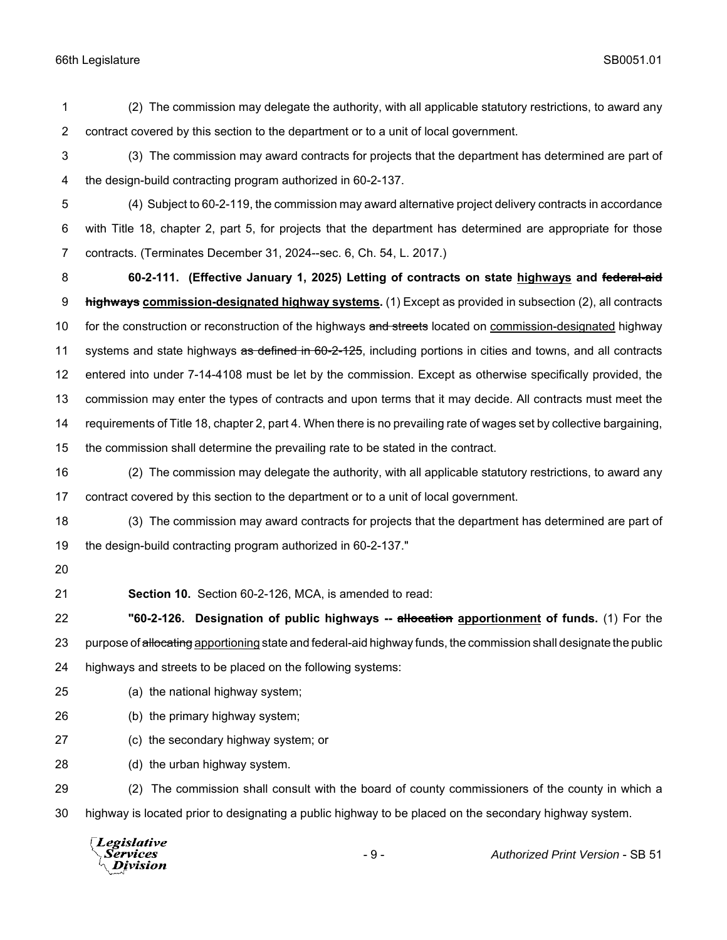(2) The commission may delegate the authority, with all applicable statutory restrictions, to award any contract covered by this section to the department or to a unit of local government.

- (3) The commission may award contracts for projects that the department has determined are part of the design-build contracting program authorized in 60-2-137.
- (4) Subject to 60-2-119, the commission may award alternative project delivery contracts in accordance with Title 18, chapter 2, part 5, for projects that the department has determined are appropriate for those contracts. (Terminates December 31, 2024--sec. 6, Ch. 54, L. 2017.)

 **60-2-111. (Effective January 1, 2025) Letting of contracts on state highways and federal-aid highways commission-designated highway systems.** (1) Except as provided in subsection (2), all contracts 10 for the construction or reconstruction of the highways and streets located on commission-designated highway 11 systems and state highways as defined in 60-2-125, including portions in cities and towns, and all contracts entered into under 7-14-4108 must be let by the commission. Except as otherwise specifically provided, the commission may enter the types of contracts and upon terms that it may decide. All contracts must meet the requirements of Title 18, chapter 2, part 4. When there is no prevailing rate of wages set by collective bargaining, the commission shall determine the prevailing rate to be stated in the contract.

 (2) The commission may delegate the authority, with all applicable statutory restrictions, to award any contract covered by this section to the department or to a unit of local government.

 (3) The commission may award contracts for projects that the department has determined are part of the design-build contracting program authorized in 60-2-137."

- 
- 

**Section 10.** Section 60-2-126, MCA, is amended to read:

 **"60-2-126. Designation of public highways -- allocation apportionment of funds.** (1) For the 23 purpose of allocating apportioning state and federal-aid highway funds, the commission shall designate the public highways and streets to be placed on the following systems:

- (a) the national highway system;
- (b) the primary highway system;
- (c) the secondary highway system; or
- (d) the urban highway system.

 (2) The commission shall consult with the board of county commissioners of the county in which a highway is located prior to designating a public highway to be placed on the secondary highway system.

Legislative - 9 - *Authorized Print Version* - SB 51*Services* **Division**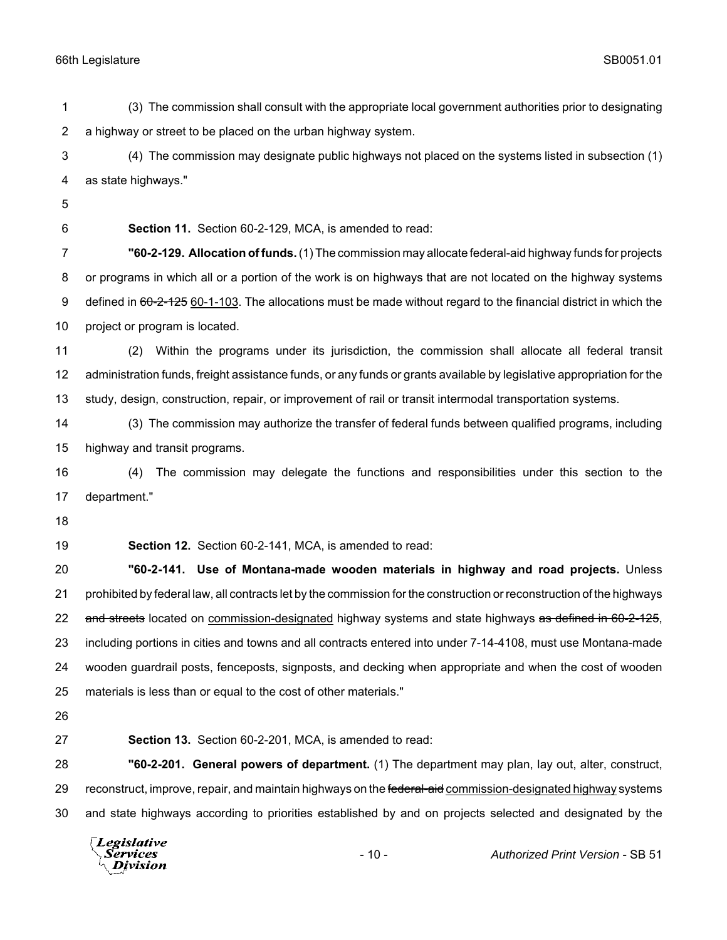(3) The commission shall consult with the appropriate local government authorities prior to designating a highway or street to be placed on the urban highway system.

 (4) The commission may designate public highways not placed on the systems listed in subsection (1) as state highways."

**Section 11.** Section 60-2-129, MCA, is amended to read:

 **"60-2-129. Allocation of funds.** (1) The commission may allocate federal-aid highway funds for projects or programs in which all or a portion of the work is on highways that are not located on the highway systems 9 defined in 60-2-125 60-1-103. The allocations must be made without regard to the financial district in which the project or program is located.

 (2) Within the programs under its jurisdiction, the commission shall allocate all federal transit administration funds, freight assistance funds, or any funds or grants available by legislative appropriation for the study, design, construction, repair, or improvement of rail or transit intermodal transportation systems.

 (3) The commission may authorize the transfer of federal funds between qualified programs, including highway and transit programs.

 (4) The commission may delegate the functions and responsibilities under this section to the department."

**Section 12.** Section 60-2-141, MCA, is amended to read:

 **"60-2-141. Use of Montana-made wooden materials in highway and road projects.** Unless prohibited by federal law, all contracts let by the commission for the construction or reconstruction of the highways 22 and streets located on commission-designated highway systems and state highways as defined in 60-2-125, including portions in cities and towns and all contracts entered into under 7-14-4108, must use Montana-made wooden guardrail posts, fenceposts, signposts, and decking when appropriate and when the cost of wooden materials is less than or equal to the cost of other materials."

**Section 13.** Section 60-2-201, MCA, is amended to read:

 **"60-2-201. General powers of department.** (1) The department may plan, lay out, alter, construct, 29 reconstruct, improve, repair, and maintain highways on the federal-aid commission-designated highway systems and state highways according to priorities established by and on projects selected and designated by the

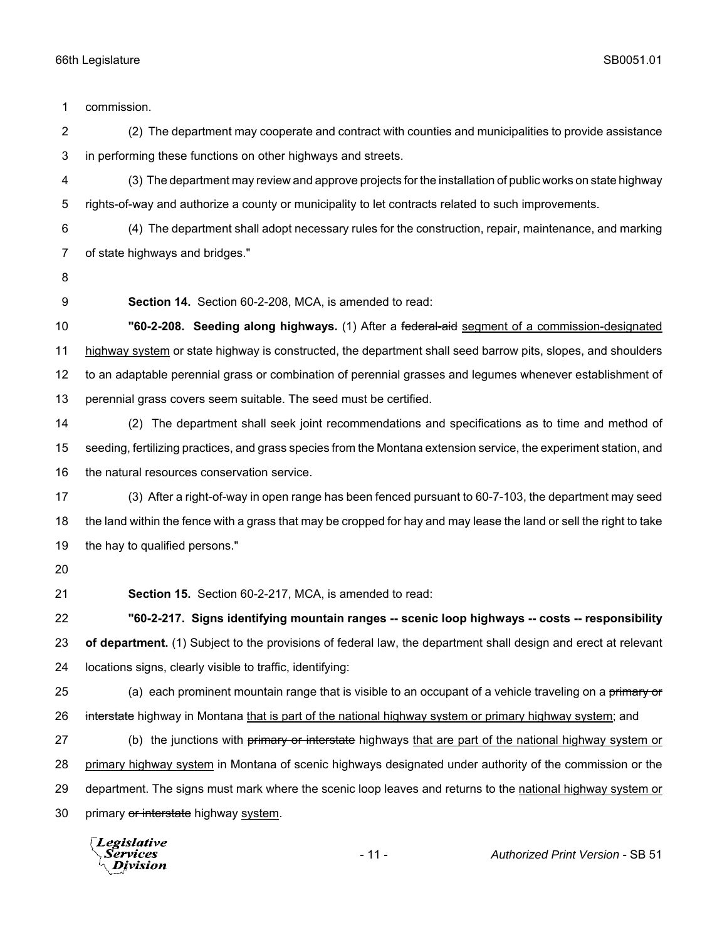| 1              | commission.                                                                                                         |
|----------------|---------------------------------------------------------------------------------------------------------------------|
| $\overline{c}$ | (2) The department may cooperate and contract with counties and municipalities to provide assistance                |
| 3              | in performing these functions on other highways and streets.                                                        |
| 4              | (3) The department may review and approve projects for the installation of public works on state highway            |
| 5              | rights-of-way and authorize a county or municipality to let contracts related to such improvements.                 |
| 6              | (4) The department shall adopt necessary rules for the construction, repair, maintenance, and marking               |
| 7              | of state highways and bridges."                                                                                     |
| 8              |                                                                                                                     |
| 9              | Section 14. Section 60-2-208, MCA, is amended to read:                                                              |
| 10             | "60-2-208. Seeding along highways. (1) After a federal-aid segment of a commission-designated                       |
| 11             | highway system or state highway is constructed, the department shall seed barrow pits, slopes, and shoulders        |
| 12             | to an adaptable perennial grass or combination of perennial grasses and legumes whenever establishment of           |
| 13             | perennial grass covers seem suitable. The seed must be certified.                                                   |
| 14             | (2) The department shall seek joint recommendations and specifications as to time and method of                     |
| 15             | seeding, fertilizing practices, and grass species from the Montana extension service, the experiment station, and   |
| 16             | the natural resources conservation service.                                                                         |
| 17             | (3) After a right-of-way in open range has been fenced pursuant to 60-7-103, the department may seed                |
| 18             | the land within the fence with a grass that may be cropped for hay and may lease the land or sell the right to take |
| 19             | the hay to qualified persons."                                                                                      |
| 20             |                                                                                                                     |
| 21             | Section 15. Section 60-2-217, MCA, is amended to read:                                                              |
| 22             | "60-2-217. Signs identifying mountain ranges -- scenic loop highways -- costs -- responsibility                     |
| 23             | of department. (1) Subject to the provisions of federal law, the department shall design and erect at relevant      |
| 24             | locations signs, clearly visible to traffic, identifying:                                                           |
| 25             | (a) each prominent mountain range that is visible to an occupant of a vehicle traveling on a primary or             |
| 26             | interstate highway in Montana that is part of the national highway system or primary highway system; and            |
| 27             | (b) the junctions with primary or interstate highways that are part of the national highway system or               |
| 28             | primary highway system in Montana of scenic highways designated under authority of the commission or the            |
| 29             | department. The signs must mark where the scenic loop leaves and returns to the national highway system or          |
| 30             | primary or interstate highway system.                                                                               |
|                | $\sqrt{L}$ <i>Legislative</i>                                                                                       |

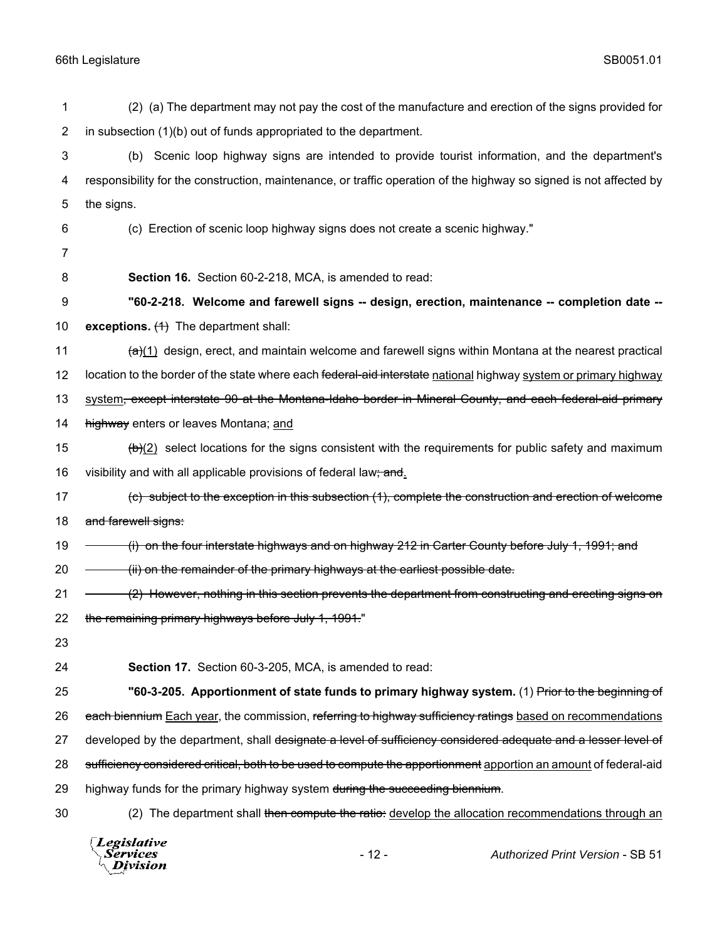| 1              | (2) (a) The department may not pay the cost of the manufacture and erection of the signs provided for                       |
|----------------|-----------------------------------------------------------------------------------------------------------------------------|
| $\overline{c}$ | in subsection (1)(b) out of funds appropriated to the department.                                                           |
| 3              | Scenic loop highway signs are intended to provide tourist information, and the department's<br>(b)                          |
| 4              | responsibility for the construction, maintenance, or traffic operation of the highway so signed is not affected by          |
| 5              | the signs.                                                                                                                  |
| 6              | (c) Erection of scenic loop highway signs does not create a scenic highway."                                                |
| 7              |                                                                                                                             |
| 8              | Section 16. Section 60-2-218, MCA, is amended to read:                                                                      |
| 9              | "60-2-218. Welcome and farewell signs -- design, erection, maintenance -- completion date --                                |
| 10             | exceptions. $(1)$ The department shall:                                                                                     |
| 11             | $\frac{a}{a}(1)$ design, erect, and maintain welcome and farewell signs within Montana at the nearest practical             |
| 12             | location to the border of the state where each <del>federal-aid interstate</del> national highway system or primary highway |
| 13             | system, except interstate 90 at the Montana-Idaho border in Mineral County, and each federal-aid primary                    |
| 14             | highway enters or leaves Montana; and                                                                                       |
| 15             | $\frac{b}{c}$ select locations for the signs consistent with the requirements for public safety and maximum                 |
| 16             | visibility and with all applicable provisions of federal law; and.                                                          |
| 17             | (c) subject to the exception in this subsection (1), complete the construction and erection of welcome                      |
| 18             | and farewell signs:                                                                                                         |
| 19             | (i) on the four interstate highways and on highway 212 in Carter County before July 1, 1991; and                            |
| 20             | (ii) on the remainder of the primary highways at the earliest possible date.                                                |
| 21             | (2) However, nothing in this section prevents the department from constructing and erecting signs on                        |
| 22             | the remaining primary highways before July 1, 1991."                                                                        |
| 23             |                                                                                                                             |
| 24             | Section 17. Section 60-3-205, MCA, is amended to read:                                                                      |
| 25             | "60-3-205. Apportionment of state funds to primary highway system. (1) Prior to the beginning of                            |
| 26             | each biennium Each year, the commission, referring to highway sufficiency ratings based on recommendations                  |
| 27             | developed by the department, shall <del>designate a level of sufficiency considered adequate and a lesser level of</del>    |
| 28             | sufficiency considered critical, both to be used to compute the apportionment apportion an amount of federal-aid            |
| 29             | highway funds for the primary highway system during the succeeding biennium.                                                |
| 30             | (2) The department shall then compute the ratio: develop the allocation recommendations through an                          |
|                |                                                                                                                             |

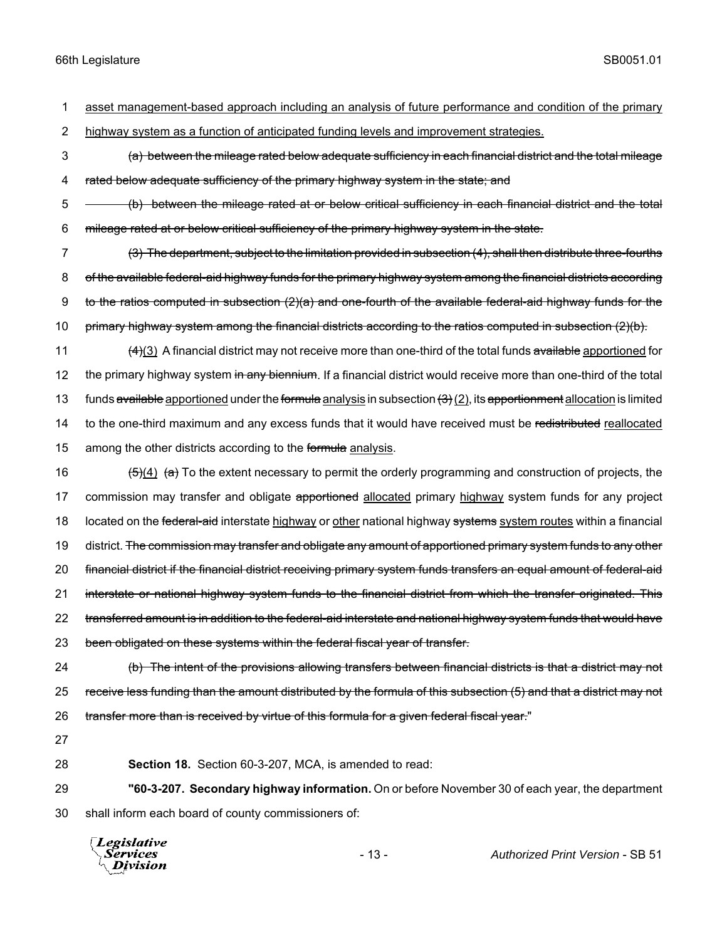1 asset management-based approach including an analysis of future performance and condition of the primary

2 highway system as a function of anticipated funding levels and improvement strategies.

- 3 (a) between the mileage rated below adequate sufficiency in each financial district and the total mileage 4 rated below adequate sufficiency of the primary highway system in the state; and
- 5 (b) between the mileage rated at or below critical sufficiency in each financial district and the total 6 mileage rated at or below critical sufficiency of the primary highway system in the state.
- 7 (3) The department, subject to the limitation provided in subsection (4), shall then distribute three-fourths 8 of the available federal-aid highway funds for the primary highway system among the financial districts according 9 to the ratios computed in subsection  $(2)(a)$  and one-fourth of the available federal-aid highway funds for the 10 primary highway system among the financial districts according to the ratios computed in subsection (2)(b).
- 11 (4)(3) A financial district may not receive more than one-third of the total funds available apportioned for 12 the primary highway system in any biennium. If a financial district would receive more than one-third of the total 13 funds available apportioned under the formula analysis in subsection  $(3)(2)$ , its apportionment allocation is limited 14 to the one-third maximum and any excess funds that it would have received must be redistributed reallocated 15 among the other districts according to the formula analysis.
- 16  $(5)(4)$   $(a)$  To the extent necessary to permit the orderly programming and construction of projects, the 17 commission may transfer and obligate apportioned allocated primary highway system funds for any project 18 located on the federal-aid interstate highway or other national highway systems system routes within a financial 19 district. <del>The commission may transfer and obligate any amount of apportioned primary system funds to any other</del> 20 financial district if the financial district receiving primary system funds transfers an equal amount of federal-aid 21 interstate or national highway system funds to the financial district from which the transfer originated. This 22 transferred amount is in addition to the federal-aid interstate and national highway system funds that would have 23 been obligated on these systems within the federal fiscal year of transfer.
- 24 (b) The intent of the provisions allowing transfers between financial districts is that a district may not 25 receive less funding than the amount distributed by the formula of this subsection (5) and that a district may not 26 transfer more than is received by virtue of this formula for a given federal fiscal year."
- 27
- 

28 **Section 18.** Section 60-3-207, MCA, is amended to read:

29 **"60-3-207. Secondary highway information.** On or before November 30 of each year, the department 30 shall inform each board of county commissioners of:

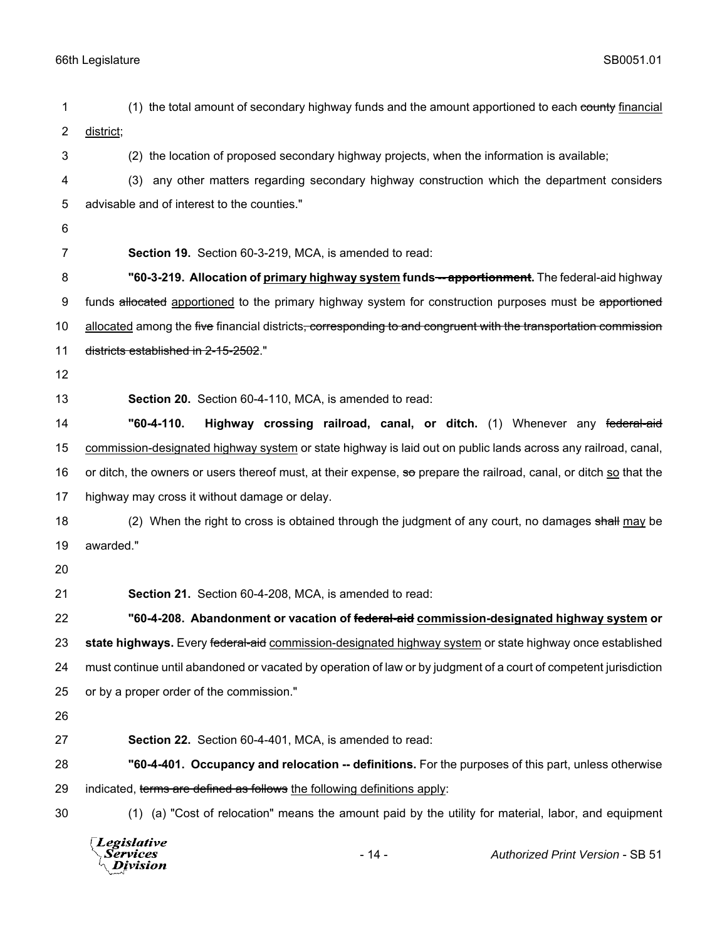| 1  | (1) the total amount of secondary highway funds and the amount apportioned to each county financial                         |  |  |
|----|-----------------------------------------------------------------------------------------------------------------------------|--|--|
| 2  | district;                                                                                                                   |  |  |
| 3  | (2) the location of proposed secondary highway projects, when the information is available;                                 |  |  |
| 4  | any other matters regarding secondary highway construction which the department considers<br>(3)                            |  |  |
| 5  | advisable and of interest to the counties."                                                                                 |  |  |
| 6  |                                                                                                                             |  |  |
| 7  | Section 19. Section 60-3-219, MCA, is amended to read:                                                                      |  |  |
| 8  | "60-3-219. Allocation of primary highway system funds--apportionment. The federal-aid highway                               |  |  |
| 9  | funds allocated apportioned to the primary highway system for construction purposes must be apportioned                     |  |  |
| 10 | allocated among the five financial districts <del>, corresponding to and congruent with the transportation commission</del> |  |  |
| 11 | districts established in 2-15-2502."                                                                                        |  |  |
| 12 |                                                                                                                             |  |  |
| 13 | Section 20. Section 60-4-110, MCA, is amended to read:                                                                      |  |  |
| 14 | "60-4-110.<br>Highway crossing railroad, canal, or ditch. (1) Whenever any federal-aid                                      |  |  |
| 15 | commission-designated highway system or state highway is laid out on public lands across any railroad, canal,               |  |  |
| 16 | or ditch, the owners or users thereof must, at their expense, so prepare the railroad, canal, or ditch so that the          |  |  |
| 17 | highway may cross it without damage or delay.                                                                               |  |  |
| 18 | (2) When the right to cross is obtained through the judgment of any court, no damages shall may be                          |  |  |
| 19 | awarded."                                                                                                                   |  |  |
| 20 |                                                                                                                             |  |  |
| 21 | Section 21. Section 60-4-208, MCA, is amended to read:                                                                      |  |  |
| 22 | "60-4-208. Abandonment or vacation of federal-aid commission-designated highway system or                                   |  |  |
| 23 | state highways. Every federal-aid commission-designated highway system or state highway once established                    |  |  |
| 24 | must continue until abandoned or vacated by operation of law or by judgment of a court of competent jurisdiction            |  |  |
| 25 | or by a proper order of the commission."                                                                                    |  |  |
| 26 |                                                                                                                             |  |  |
| 27 | Section 22. Section 60-4-401, MCA, is amended to read:                                                                      |  |  |
| 28 | "60-4-401. Occupancy and relocation -- definitions. For the purposes of this part, unless otherwise                         |  |  |
| 29 | indicated, terms are defined as follows the following definitions apply:                                                    |  |  |
| 30 | (1) (a) "Cost of relocation" means the amount paid by the utility for material, labor, and equipment                        |  |  |
|    | Legislative<br>$-14-$<br>Authorized Print Version - SB 51<br>Services<br>Division                                           |  |  |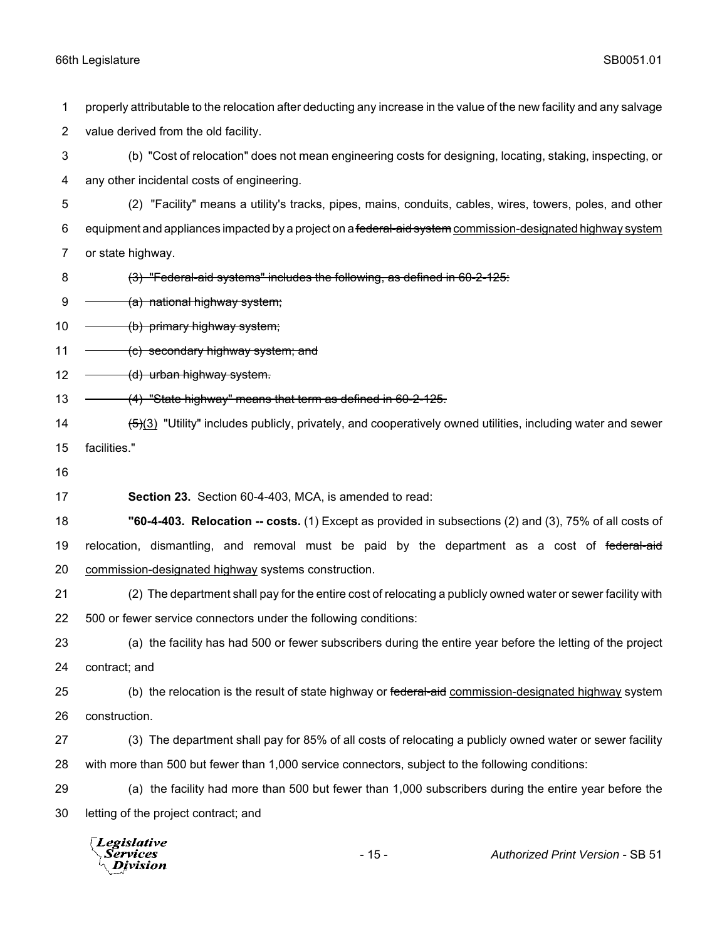properly attributable to the relocation after deducting any increase in the value of the new facility and any salvage value derived from the old facility.

 (b) "Cost of relocation" does not mean engineering costs for designing, locating, staking, inspecting, or any other incidental costs of engineering.

 (2) "Facility" means a utility's tracks, pipes, mains, conduits, cables, wires, towers, poles, and other 6 equipment and appliances impacted by a project on a federal-aid system commission-designated highway system or state highway.

- 8 (3) "Federal-aid systems" includes the following, as defined in 60-2-125:
- $9 \quad \quad$  (a) national highway system;

10 - (b) primary highway system;

11  $\leftarrow$  (c) secondary highway system; and

 $12 \left( d \right)$  urban highway system.

- 13 (4) "State highway" means that term as defined in 60-2-125.
- 14 (5)(3) "Utility" includes publicly, privately, and cooperatively owned utilities, including water and sewer facilities."
- 

**Section 23.** Section 60-4-403, MCA, is amended to read:

 **"60-4-403. Relocation -- costs.** (1) Except as provided in subsections (2) and (3), 75% of all costs of 19 relocation, dismantling, and removal must be paid by the department as a cost of federal-aid commission-designated highway systems construction.

 (2) The department shall pay for the entire cost of relocating a publicly owned water or sewer facility with 500 or fewer service connectors under the following conditions:

 (a) the facility has had 500 or fewer subscribers during the entire year before the letting of the project contract; and

25 (b) the relocation is the result of state highway or federal-aid commission-designated highway system construction.

- (3) The department shall pay for 85% of all costs of relocating a publicly owned water or sewer facility with more than 500 but fewer than 1,000 service connectors, subject to the following conditions:
- (a) the facility had more than 500 but fewer than 1,000 subscribers during the entire year before the letting of the project contract; and

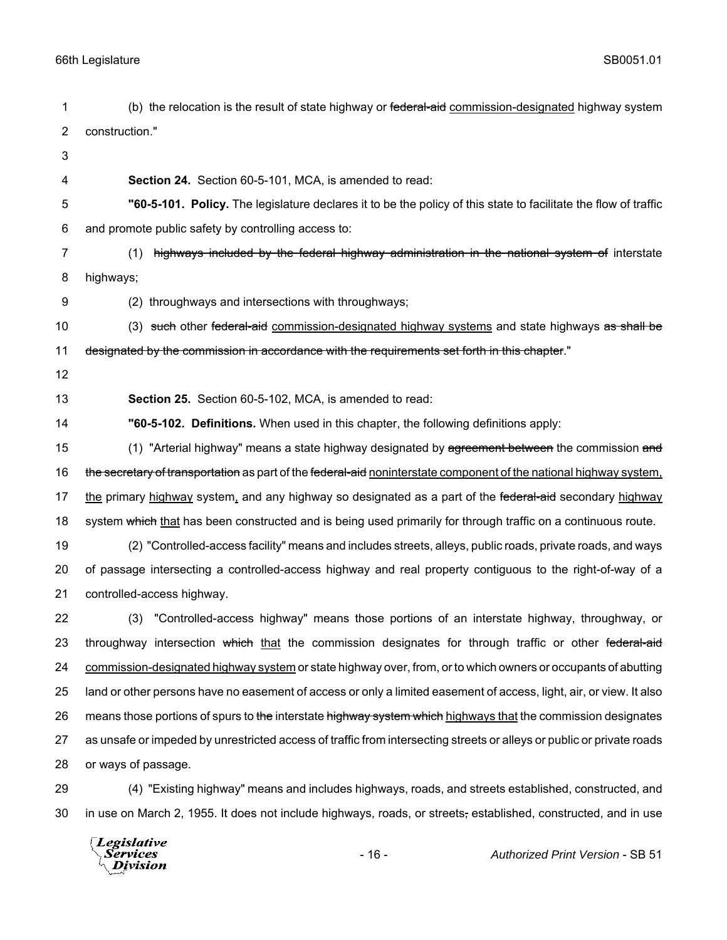| 1  | (b) the relocation is the result of state highway or federal-aid commission-designated highway system                 |  |
|----|-----------------------------------------------------------------------------------------------------------------------|--|
| 2  | construction."                                                                                                        |  |
| 3  |                                                                                                                       |  |
| 4  | Section 24. Section 60-5-101, MCA, is amended to read:                                                                |  |
| 5  | "60-5-101. Policy. The legislature declares it to be the policy of this state to facilitate the flow of traffic       |  |
| 6  | and promote public safety by controlling access to:                                                                   |  |
| 7  | highways included by the federal highway administration in the national system of interstate<br>(1)                   |  |
| 8  | highways;                                                                                                             |  |
| 9  | (2) throughways and intersections with throughways;                                                                   |  |
| 10 | (3) such other federal-aid commission-designated highway systems and state highways as shall be                       |  |
| 11 | designated by the commission in accordance with the requirements set forth in this chapter."                          |  |
| 12 |                                                                                                                       |  |
| 13 | Section 25. Section 60-5-102, MCA, is amended to read:                                                                |  |
| 14 | "60-5-102. Definitions. When used in this chapter, the following definitions apply:                                   |  |
| 15 | (1) "Arterial highway" means a state highway designated by agreement between the commission and                       |  |
| 16 | the secretary of transportation as part of the federal-aid noninterstate component of the national highway system,    |  |
| 17 | the primary highway system, and any highway so designated as a part of the federal-aid secondary highway              |  |
| 18 | system which that has been constructed and is being used primarily for through traffic on a continuous route.         |  |
| 19 | (2) "Controlled-access facility" means and includes streets, alleys, public roads, private roads, and ways            |  |
| 20 | of passage intersecting a controlled-access highway and real property contiguous to the right-of-way of a             |  |
| 21 | controlled-access highway.                                                                                            |  |
| 22 | "Controlled-access highway" means those portions of an interstate highway, throughway, or<br>(3)                      |  |
| 23 | throughway intersection which that the commission designates for through traffic or other federal-aid                 |  |
| 24 | commission-designated highway system or state highway over, from, or to which owners or occupants of abutting         |  |
| 25 | land or other persons have no easement of access or only a limited easement of access, light, air, or view. It also   |  |
| 26 | means those portions of spurs to the interstate highway system which highways that the commission designates          |  |
| 27 | as unsafe or impeded by unrestricted access of traffic from intersecting streets or alleys or public or private roads |  |
| 28 | or ways of passage.                                                                                                   |  |
| 29 | (4) "Existing highway" means and includes highways, roads, and streets established, constructed, and                  |  |
| 30 | in use on March 2, 1955. It does not include highways, roads, or streets, established, constructed, and in use        |  |

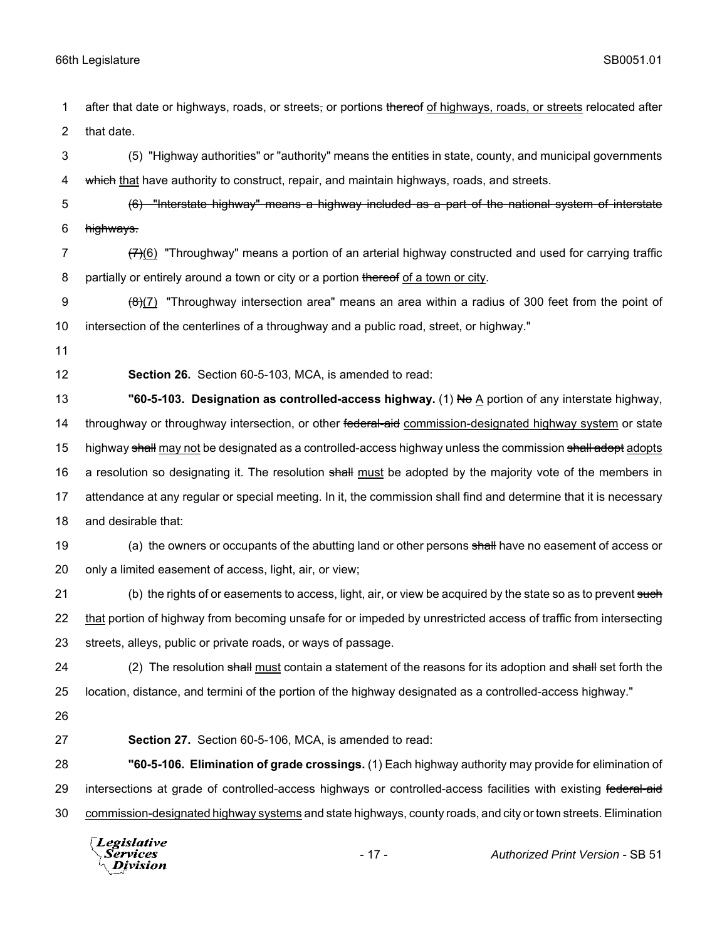1 after that date or highways, roads, or streets, or portions thereof of highways, roads, or streets relocated after 2 that date.

3 (5) "Highway authorities" or "authority" means the entities in state, county, and municipal governments 4 which that have authority to construct, repair, and maintain highways, roads, and streets.

5 (6) "Interstate highway" means a highway included as a part of the national system of interstate 6 highways.

7  $\left(7\right)$ (6) "Throughway" means a portion of an arterial highway constructed and used for carrying traffic 8 partially or entirely around a town or city or a portion thereof of a town or city.

9  $\left(\frac{1}{2}\right)$  "Throughway intersection area" means an area within a radius of 300 feet from the point of 10 intersection of the centerlines of a throughway and a public road, street, or highway."

11

12 **Section 26.** Section 60-5-103, MCA, is amended to read:

13 **"60-5-103. Designation as controlled-access highway.** (1) No A portion of any interstate highway, 14 throughway or throughway intersection, or other federal-aid commission-designated highway system or state 15 highway shall may not be designated as a controlled-access highway unless the commission shall adopt adopts 16 a resolution so designating it. The resolution shall must be adopted by the majority vote of the members in 17 attendance at any regular or special meeting. In it, the commission shall find and determine that it is necessary 18 and desirable that:

19 (a) the owners or occupants of the abutting land or other persons shall have no easement of access or 20 only a limited easement of access, light, air, or view;

21 (b) the rights of or easements to access, light, air, or view be acquired by the state so as to prevent such 22 that portion of highway from becoming unsafe for or impeded by unrestricted access of traffic from intersecting 23 streets, alleys, public or private roads, or ways of passage.

24 (2) The resolution shall must contain a statement of the reasons for its adoption and shall set forth the 25 location, distance, and termini of the portion of the highway designated as a controlled-access highway."

26

27 **Section 27.** Section 60-5-106, MCA, is amended to read:

28 **"60-5-106. Elimination of grade crossings.** (1) Each highway authority may provide for elimination of 29 intersections at grade of controlled-access highways or controlled-access facilities with existing federal-aid 30 commission-designated highway systems and state highways, county roads, and city or town streets. Elimination

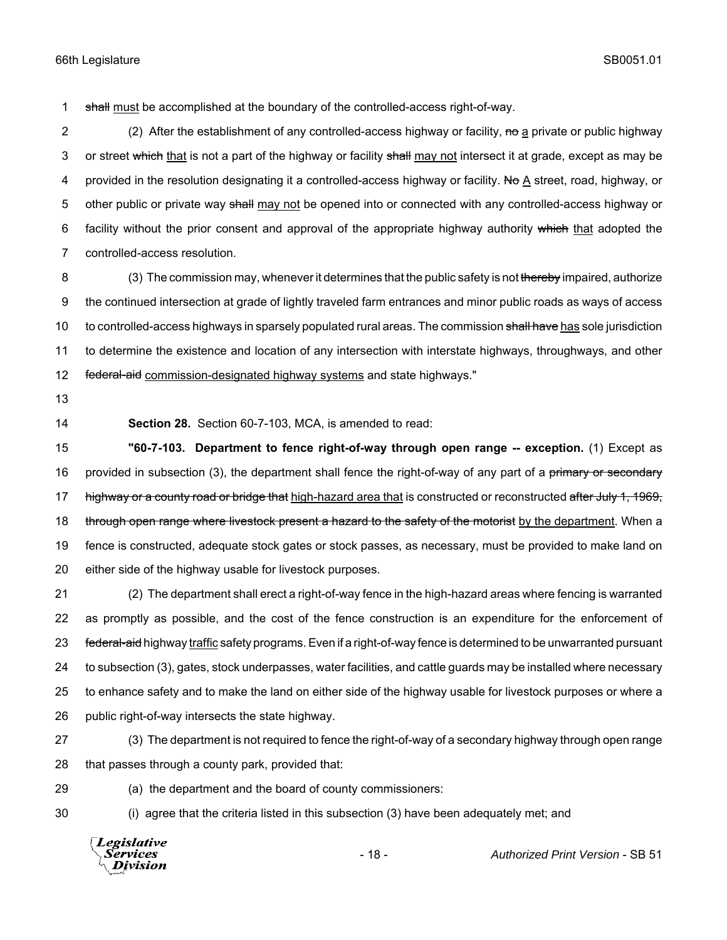1 shall must be accomplished at the boundary of the controlled-access right-of-way.

2 (2) After the establishment of any controlled-access highway or facility, no a private or public highway 3 or street which that is not a part of the highway or facility shall may not intersect it at grade, except as may be 4 provided in the resolution designating it a controlled-access highway or facility. No A street, road, highway, or 5 other public or private way shall may not be opened into or connected with any controlled-access highway or 6 facility without the prior consent and approval of the appropriate highway authority which that adopted the 7 controlled-access resolution.

8 (3) The commission may, whenever it determines that the public safety is not thereby impaired, authorize 9 the continued intersection at grade of lightly traveled farm entrances and minor public roads as ways of access 10 to controlled-access highways in sparsely populated rural areas. The commission shall have has sole jurisdiction 11 to determine the existence and location of any intersection with interstate highways, throughways, and other 12 federal-aid commission-designated highway systems and state highways."

- 13
- 

14 **Section 28.** Section 60-7-103, MCA, is amended to read:

15 **"60-7-103. Department to fence right-of-way through open range -- exception.** (1) Except as 16 provided in subsection (3), the department shall fence the right-of-way of any part of a primary or secondary 17 highway or a county road or bridge that high-hazard area that is constructed or reconstructed after July 1, 1969, 18 through open range where livestock present a hazard to the safety of the motorist by the department. When a 19 fence is constructed, adequate stock gates or stock passes, as necessary, must be provided to make land on 20 either side of the highway usable for livestock purposes.

 (2) The department shall erect a right-of-way fence in the high-hazard areas where fencing is warranted as promptly as possible, and the cost of the fence construction is an expenditure for the enforcement of 23 federal-aid highway traffic safety programs. Even if a right-of-way fence is determined to be unwarranted pursuant to subsection (3), gates, stock underpasses, water facilities, and cattle guards may be installed where necessary to enhance safety and to make the land on either side of the highway usable for livestock purposes or where a public right-of-way intersects the state highway.

27 (3) The department is not required to fence the right-of-way of a secondary highway through open range 28 that passes through a county park, provided that:

29 (a) the department and the board of county commissioners:

30 (i) agree that the criteria listed in this subsection (3) have been adequately met; and

Legislative *Services* **Division** 

- 18 - *Authorized Print Version* - SB 51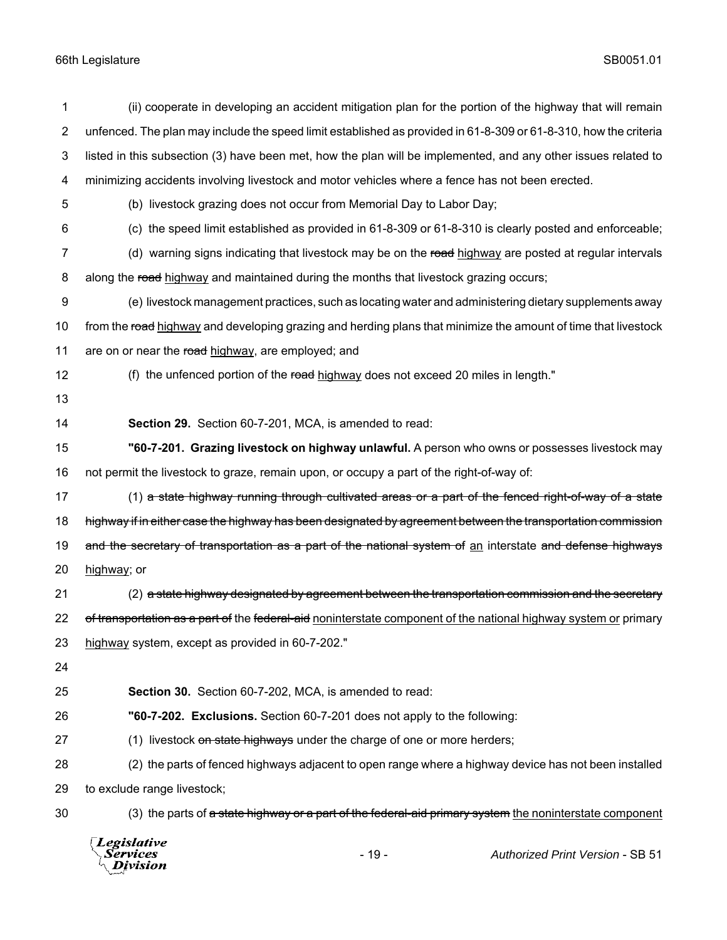| 1              | (ii) cooperate in developing an accident mitigation plan for the portion of the highway that will remain         |  |
|----------------|------------------------------------------------------------------------------------------------------------------|--|
| $\overline{2}$ | unfenced. The plan may include the speed limit established as provided in 61-8-309 or 61-8-310, how the criteria |  |
| 3              | listed in this subsection (3) have been met, how the plan will be implemented, and any other issues related to   |  |
| 4              | minimizing accidents involving livestock and motor vehicles where a fence has not been erected.                  |  |
| 5              | (b) livestock grazing does not occur from Memorial Day to Labor Day;                                             |  |
| 6              | (c) the speed limit established as provided in 61-8-309 or 61-8-310 is clearly posted and enforceable;           |  |
| 7              | (d) warning signs indicating that livestock may be on the road highway are posted at regular intervals           |  |
| 8              | along the road highway and maintained during the months that livestock grazing occurs;                           |  |
| 9              | (e) livestock management practices, such as locating water and administering dietary supplements away            |  |
| 10             | from the road highway and developing grazing and herding plans that minimize the amount of time that livestock   |  |
| 11             | are on or near the road highway, are employed; and                                                               |  |
| 12             | (f) the unfenced portion of the road highway does not exceed 20 miles in length."                                |  |
| 13             |                                                                                                                  |  |
| 14             | Section 29. Section 60-7-201, MCA, is amended to read:                                                           |  |
| 15             | "60-7-201. Grazing livestock on highway unlawful. A person who owns or possesses livestock may                   |  |
| 16             | not permit the livestock to graze, remain upon, or occupy a part of the right-of-way of:                         |  |
| 17             | (1) a state highway running through cultivated areas or a part of the fenced right-of-way of a state             |  |
| 18             | highway if in either case the highway has been designated by agreement between the transportation commission     |  |
| 19             | and the secretary of transportation as a part of the national system of an interstate and defense highways       |  |
| 20             | highway; or                                                                                                      |  |
| 21             | (2) a state highway designated by agreement between the transportation commission and the secretary              |  |
| 22             | of transportation as a part of the federal-aid noninterstate component of the national highway system or primary |  |
| 23             | highway system, except as provided in 60-7-202."                                                                 |  |
| 24             |                                                                                                                  |  |
| 25             | Section 30. Section 60-7-202, MCA, is amended to read:                                                           |  |
| 26             | "60-7-202. Exclusions. Section 60-7-201 does not apply to the following:                                         |  |
| 27             | (1) livestock on state highways under the charge of one or more herders;                                         |  |
| 28             | (2) the parts of fenced highways adjacent to open range where a highway device has not been installed            |  |
| 29             | to exclude range livestock;                                                                                      |  |
| 30             | (3) the parts of a state highway or a part of the federal-aid primary system the noninterstate component         |  |
|                |                                                                                                                  |  |



- 19 - *Authorized Print Version* - SB 51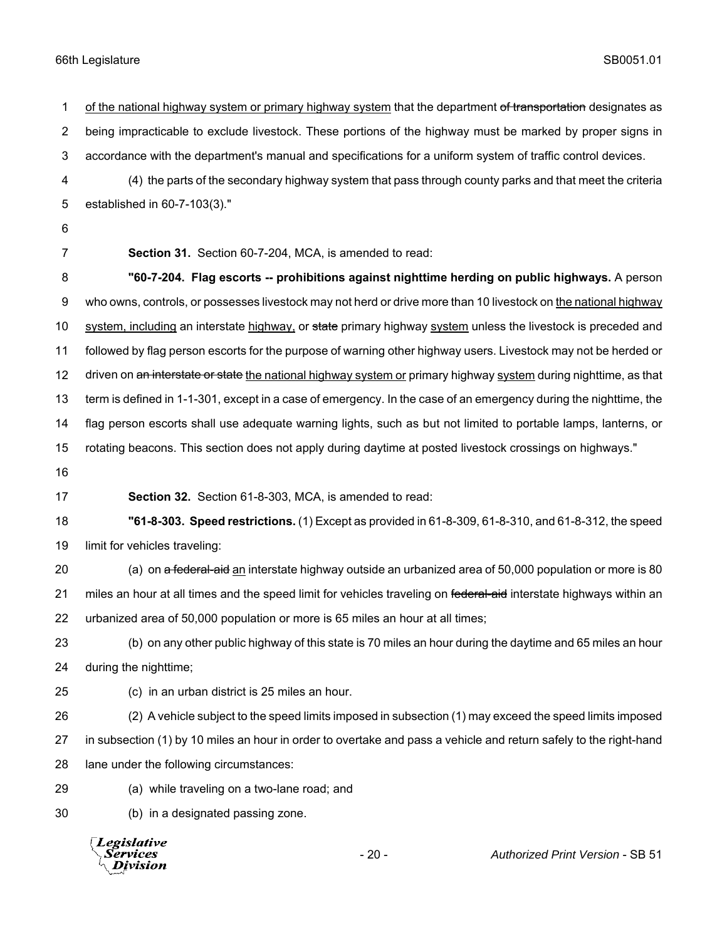1 of the national highway system or primary highway system that the department of transportation designates as being impracticable to exclude livestock. These portions of the highway must be marked by proper signs in accordance with the department's manual and specifications for a uniform system of traffic control devices. (4) the parts of the secondary highway system that pass through county parks and that meet the criteria established in 60-7-103(3)." **Section 31.** Section 60-7-204, MCA, is amended to read: **"60-7-204. Flag escorts -- prohibitions against nighttime herding on public highways.** A person who owns, controls, or possesses livestock may not herd or drive more than 10 livestock on the national highway 10 system, including an interstate highway, or state primary highway system unless the livestock is preceded and followed by flag person escorts for the purpose of warning other highway users. Livestock may not be herded or 12 driven on an interstate or state the national highway system or primary highway system during nighttime, as that term is defined in 1-1-301, except in a case of emergency. In the case of an emergency during the nighttime, the flag person escorts shall use adequate warning lights, such as but not limited to portable lamps, lanterns, or rotating beacons. This section does not apply during daytime at posted livestock crossings on highways." **Section 32.** Section 61-8-303, MCA, is amended to read: **"61-8-303. Speed restrictions.** (1) Except as provided in 61-8-309, 61-8-310, and 61-8-312, the speed limit for vehicles traveling: 20 (a) on a federal-aid an interstate highway outside an urbanized area of 50,000 population or more is 80 21 miles an hour at all times and the speed limit for vehicles traveling on federal-aid interstate highways within an urbanized area of 50,000 population or more is 65 miles an hour at all times; (b) on any other public highway of this state is 70 miles an hour during the daytime and 65 miles an hour during the nighttime; (c) in an urban district is 25 miles an hour. (2) A vehicle subject to the speed limits imposed in subsection (1) may exceed the speed limits imposed in subsection (1) by 10 miles an hour in order to overtake and pass a vehicle and return safely to the right-hand lane under the following circumstances: (a) while traveling on a two-lane road; and (b) in a designated passing zone.

**Legislative** Services Division

- 20 - *Authorized Print Version* - SB 51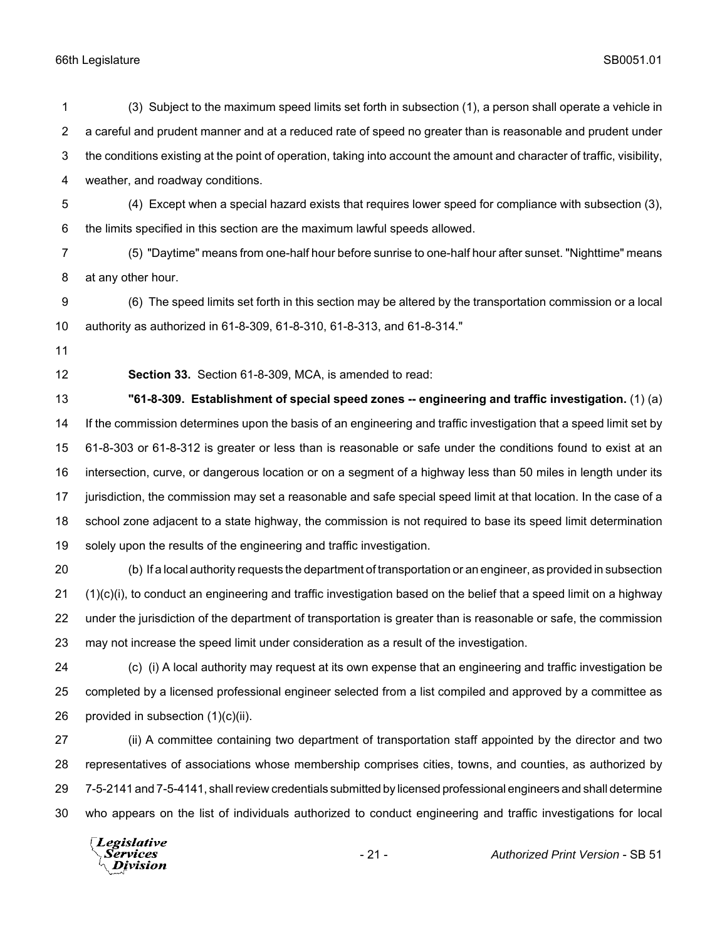(3) Subject to the maximum speed limits set forth in subsection (1), a person shall operate a vehicle in a careful and prudent manner and at a reduced rate of speed no greater than is reasonable and prudent under the conditions existing at the point of operation, taking into account the amount and character of traffic, visibility, weather, and roadway conditions. (4) Except when a special hazard exists that requires lower speed for compliance with subsection (3), the limits specified in this section are the maximum lawful speeds allowed. (5) "Daytime" means from one-half hour before sunrise to one-half hour after sunset. "Nighttime" means at any other hour. (6) The speed limits set forth in this section may be altered by the transportation commission or a local authority as authorized in 61-8-309, 61-8-310, 61-8-313, and 61-8-314." **Section 33.** Section 61-8-309, MCA, is amended to read: **"61-8-309. Establishment of special speed zones -- engineering and traffic investigation.** (1) (a) If the commission determines upon the basis of an engineering and traffic investigation that a speed limit set by 61-8-303 or 61-8-312 is greater or less than is reasonable or safe under the conditions found to exist at an intersection, curve, or dangerous location or on a segment of a highway less than 50 miles in length under its jurisdiction, the commission may set a reasonable and safe special speed limit at that location. In the case of a school zone adjacent to a state highway, the commission is not required to base its speed limit determination solely upon the results of the engineering and traffic investigation. (b) If a local authority requests the department of transportation or an engineer, as provided in subsection (1)(c)(i), to conduct an engineering and traffic investigation based on the belief that a speed limit on a highway under the jurisdiction of the department of transportation is greater than is reasonable or safe, the commission may not increase the speed limit under consideration as a result of the investigation. (c) (i) A local authority may request at its own expense that an engineering and traffic investigation be completed by a licensed professional engineer selected from a list compiled and approved by a committee as provided in subsection (1)(c)(ii). (ii) A committee containing two department of transportation staff appointed by the director and two representatives of associations whose membership comprises cities, towns, and counties, as authorized by 7-5-2141 and 7-5-4141, shall review credentials submitted by licensed professional engineers and shall determine who appears on the list of individuals authorized to conduct engineering and traffic investigations for local

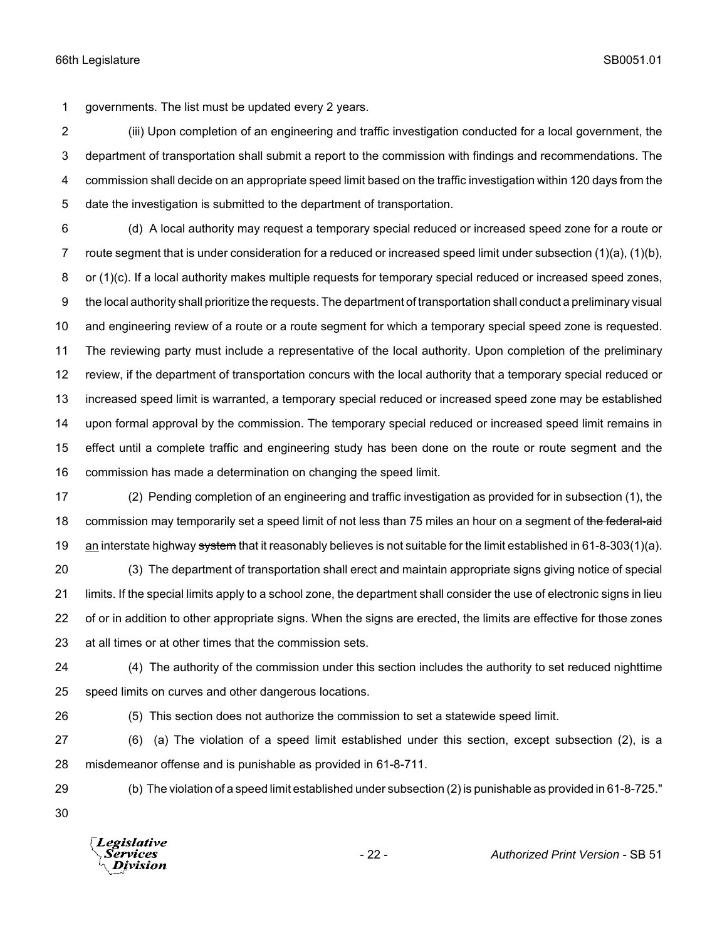governments. The list must be updated every 2 years.

 (iii) Upon completion of an engineering and traffic investigation conducted for a local government, the department of transportation shall submit a report to the commission with findings and recommendations. The commission shall decide on an appropriate speed limit based on the traffic investigation within 120 days from the date the investigation is submitted to the department of transportation.

 (d) A local authority may request a temporary special reduced or increased speed zone for a route or route segment that is under consideration for a reduced or increased speed limit under subsection (1)(a), (1)(b), 8 or (1)(c). If a local authority makes multiple requests for temporary special reduced or increased speed zones, the local authority shall prioritize the requests. The department of transportation shall conduct a preliminary visual and engineering review of a route or a route segment for which a temporary special speed zone is requested. The reviewing party must include a representative of the local authority. Upon completion of the preliminary review, if the department of transportation concurs with the local authority that a temporary special reduced or increased speed limit is warranted, a temporary special reduced or increased speed zone may be established upon formal approval by the commission. The temporary special reduced or increased speed limit remains in effect until a complete traffic and engineering study has been done on the route or route segment and the commission has made a determination on changing the speed limit.

 (2) Pending completion of an engineering and traffic investigation as provided for in subsection (1), the 18 commission may temporarily set a speed limit of not less than 75 miles an hour on a segment of the federal-aid 19 an interstate highway system that it reasonably believes is not suitable for the limit established in 61-8-303(1)(a).

 (3) The department of transportation shall erect and maintain appropriate signs giving notice of special limits. If the special limits apply to a school zone, the department shall consider the use of electronic signs in lieu of or in addition to other appropriate signs. When the signs are erected, the limits are effective for those zones at all times or at other times that the commission sets.

(4) The authority of the commission under this section includes the authority to set reduced nighttime

speed limits on curves and other dangerous locations.

(5) This section does not authorize the commission to set a statewide speed limit.

 (6) (a) The violation of a speed limit established under this section, except subsection (2), is a misdemeanor offense and is punishable as provided in 61-8-711.

(b) The violation of a speed limit established under subsection (2) is punishable as provided in 61-8-725."

**Legislative** Division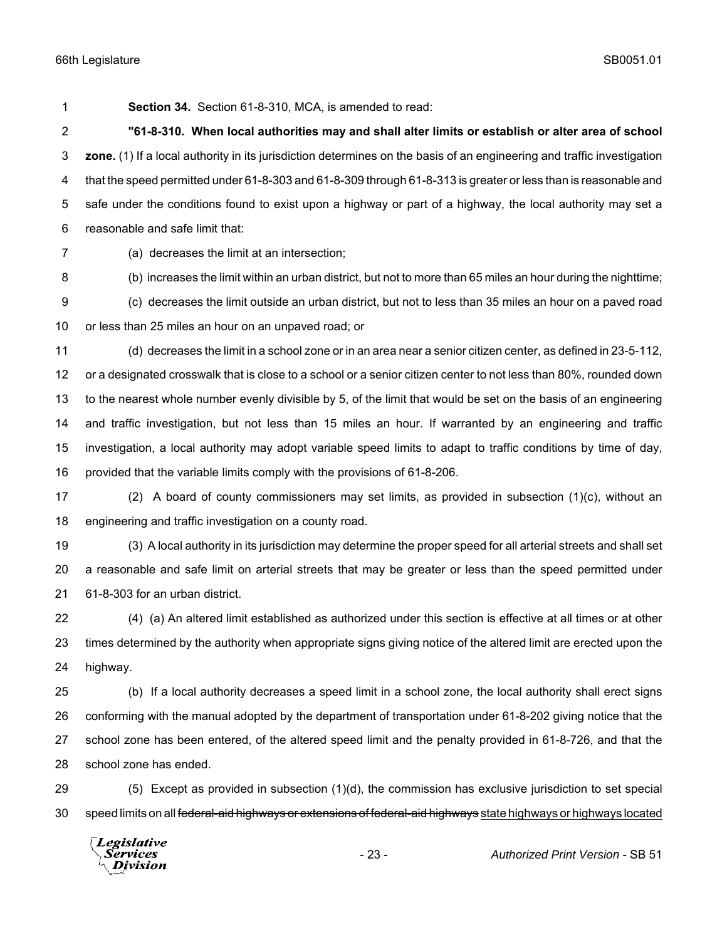**Section 34.** Section 61-8-310, MCA, is amended to read:

 **"61-8-310. When local authorities may and shall alter limits or establish or alter area of school zone.** (1) If a local authority in its jurisdiction determines on the basis of an engineering and traffic investigation that the speed permitted under 61-8-303 and 61-8-309 through 61-8-313 is greater or less than is reasonable and safe under the conditions found to exist upon a highway or part of a highway, the local authority may set a reasonable and safe limit that:

(a) decreases the limit at an intersection;

(b) increases the limit within an urban district, but not to more than 65 miles an hour during the nighttime;

 (c) decreases the limit outside an urban district, but not to less than 35 miles an hour on a paved road or less than 25 miles an hour on an unpaved road; or

 (d) decreases the limit in a school zone or in an area near a senior citizen center, as defined in 23-5-112, or a designated crosswalk that is close to a school or a senior citizen center to not less than 80%, rounded down to the nearest whole number evenly divisible by 5, of the limit that would be set on the basis of an engineering and traffic investigation, but not less than 15 miles an hour. If warranted by an engineering and traffic investigation, a local authority may adopt variable speed limits to adapt to traffic conditions by time of day, provided that the variable limits comply with the provisions of 61-8-206.

 (2) A board of county commissioners may set limits, as provided in subsection (1)(c), without an engineering and traffic investigation on a county road.

 (3) A local authority in its jurisdiction may determine the proper speed for all arterial streets and shall set a reasonable and safe limit on arterial streets that may be greater or less than the speed permitted under 61-8-303 for an urban district.

 (4) (a) An altered limit established as authorized under this section is effective at all times or at other times determined by the authority when appropriate signs giving notice of the altered limit are erected upon the highway.

 (b) If a local authority decreases a speed limit in a school zone, the local authority shall erect signs conforming with the manual adopted by the department of transportation under 61-8-202 giving notice that the school zone has been entered, of the altered speed limit and the penalty provided in 61-8-726, and that the school zone has ended.

 (5) Except as provided in subsection (1)(d), the commission has exclusive jurisdiction to set special 30 speed limits on all federal-aid highways or extensions of federal-aid highways state highways or highways located

Legislative Services **Division**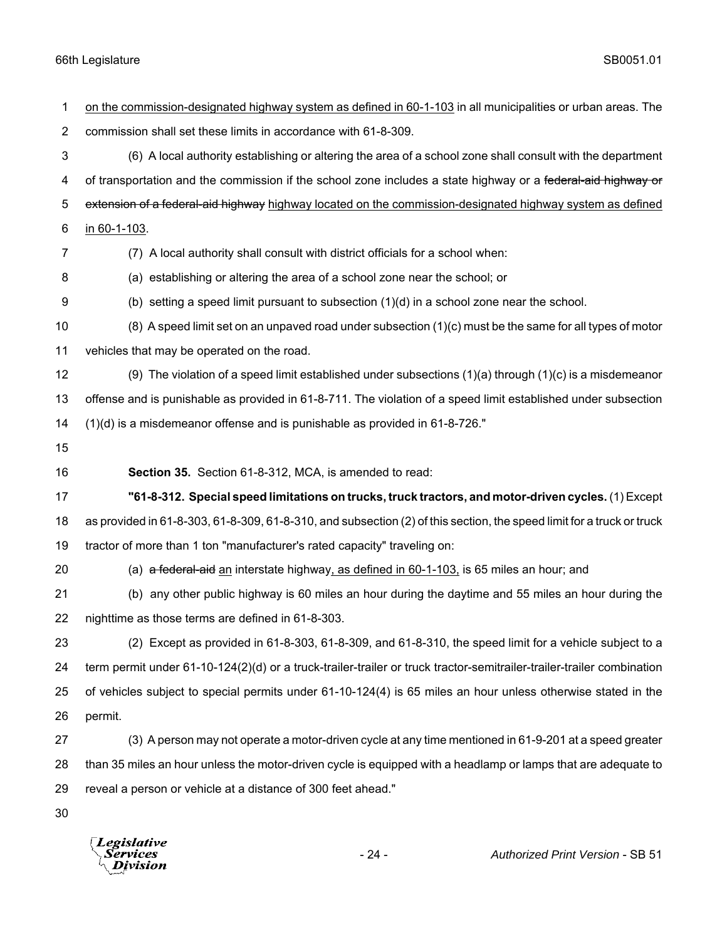| 1              | on the commission-designated highway system as defined in 60-1-103 in all municipalities or urban areas. The          |
|----------------|-----------------------------------------------------------------------------------------------------------------------|
| $\overline{2}$ | commission shall set these limits in accordance with 61-8-309.                                                        |
| 3              | (6) A local authority establishing or altering the area of a school zone shall consult with the department            |
| 4              | of transportation and the commission if the school zone includes a state highway or a federal-aid highway or          |
| 5              | extension of a federal-aid highway highway located on the commission-designated highway system as defined             |
| 6              | in 60-1-103.                                                                                                          |
| 7              | (7) A local authority shall consult with district officials for a school when:                                        |
| 8              | (a) establishing or altering the area of a school zone near the school; or                                            |
| 9              | (b) setting a speed limit pursuant to subsection $(1)(d)$ in a school zone near the school.                           |
| 10             | $(8)$ A speed limit set on an unpaved road under subsection $(1)(c)$ must be the same for all types of motor          |
| 11             | vehicles that may be operated on the road.                                                                            |
| 12             | (9) The violation of a speed limit established under subsections $(1)(a)$ through $(1)(c)$ is a misdemeanor           |
| 13             | offense and is punishable as provided in 61-8-711. The violation of a speed limit established under subsection        |
| 14             | $(1)(d)$ is a misdemeanor offense and is punishable as provided in 61-8-726."                                         |
| 15             |                                                                                                                       |
|                |                                                                                                                       |
| 16             | Section 35. Section 61-8-312, MCA, is amended to read:                                                                |
| 17             | "61-8-312. Special speed limitations on trucks, truck tractors, and motor-driven cycles. (1) Except                   |
| 18             | as provided in 61-8-303, 61-8-309, 61-8-310, and subsection (2) of this section, the speed limit for a truck or truck |
| 19             | tractor of more than 1 ton "manufacturer's rated capacity" traveling on:                                              |
| 20             | (a) a federal-aid an interstate highway, as defined in 60-1-103, is 65 miles an hour; and                             |
| 21             | (b) any other public highway is 60 miles an hour during the daytime and 55 miles an hour during the                   |
| 22             | nighttime as those terms are defined in 61-8-303.                                                                     |
| 23             | (2) Except as provided in 61-8-303, 61-8-309, and 61-8-310, the speed limit for a vehicle subject to a                |
| 24             | term permit under 61-10-124(2)(d) or a truck-trailer-trailer or truck tractor-semitrailer-trailer-trailer combination |
| 25             | of vehicles subject to special permits under 61-10-124(4) is 65 miles an hour unless otherwise stated in the          |
| 26             | permit.                                                                                                               |
| 27             | (3) A person may not operate a motor-driven cycle at any time mentioned in 61-9-201 at a speed greater                |
| 28             | than 35 miles an hour unless the motor-driven cycle is equipped with a headlamp or lamps that are adequate to         |
| 29             | reveal a person or vehicle at a distance of 300 feet ahead."                                                          |

*Legislative*<br>Services<br>*Division*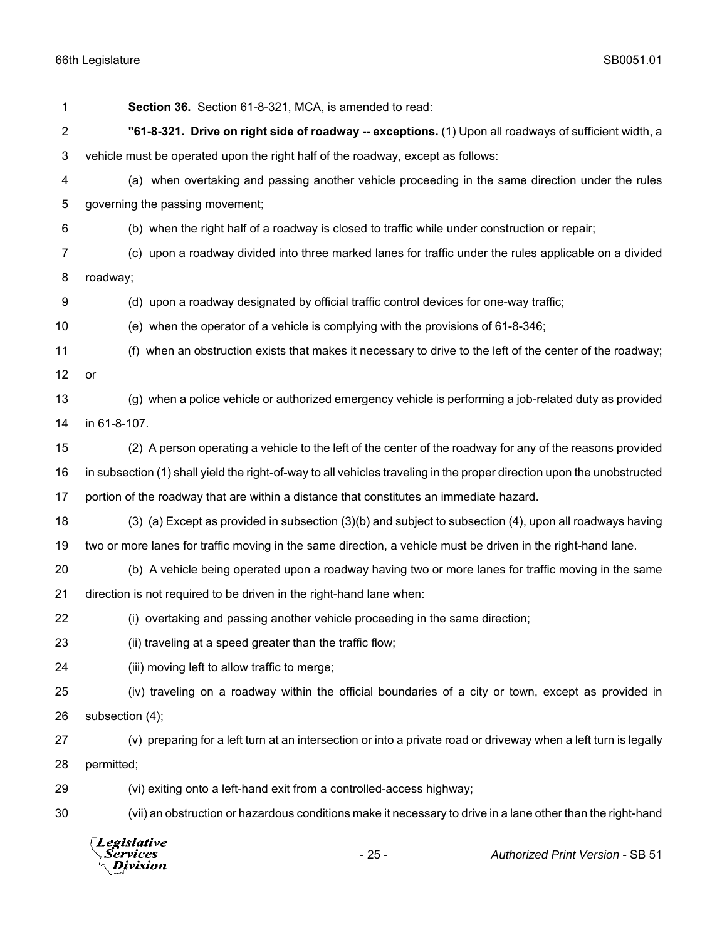| 1  | Section 36. Section 61-8-321, MCA, is amended to read:                                                                 |  |  |
|----|------------------------------------------------------------------------------------------------------------------------|--|--|
| 2  | "61-8-321. Drive on right side of roadway -- exceptions. (1) Upon all roadways of sufficient width, a                  |  |  |
| 3  | vehicle must be operated upon the right half of the roadway, except as follows:                                        |  |  |
| 4  | (a) when overtaking and passing another vehicle proceeding in the same direction under the rules                       |  |  |
| 5  | governing the passing movement;                                                                                        |  |  |
| 6  | (b) when the right half of a roadway is closed to traffic while under construction or repair;                          |  |  |
| 7  | (c) upon a roadway divided into three marked lanes for traffic under the rules applicable on a divided                 |  |  |
| 8  | roadway;                                                                                                               |  |  |
| 9  | (d) upon a roadway designated by official traffic control devices for one-way traffic;                                 |  |  |
| 10 | (e) when the operator of a vehicle is complying with the provisions of 61-8-346;                                       |  |  |
| 11 | (f) when an obstruction exists that makes it necessary to drive to the left of the center of the roadway;              |  |  |
| 12 | or                                                                                                                     |  |  |
| 13 | (g) when a police vehicle or authorized emergency vehicle is performing a job-related duty as provided                 |  |  |
| 14 | in 61-8-107.                                                                                                           |  |  |
| 15 | (2) A person operating a vehicle to the left of the center of the roadway for any of the reasons provided              |  |  |
| 16 | in subsection (1) shall yield the right-of-way to all vehicles traveling in the proper direction upon the unobstructed |  |  |
| 17 | portion of the roadway that are within a distance that constitutes an immediate hazard.                                |  |  |
| 18 | (3) (a) Except as provided in subsection (3)(b) and subject to subsection (4), upon all roadways having                |  |  |
| 19 | two or more lanes for traffic moving in the same direction, a vehicle must be driven in the right-hand lane.           |  |  |
| 20 | (b) A vehicle being operated upon a roadway having two or more lanes for traffic moving in the same                    |  |  |
| 21 | direction is not required to be driven in the right-hand lane when:                                                    |  |  |
| 22 | (i) overtaking and passing another vehicle proceeding in the same direction;                                           |  |  |
| 23 | (ii) traveling at a speed greater than the traffic flow;                                                               |  |  |
| 24 | (iii) moving left to allow traffic to merge;                                                                           |  |  |
| 25 | (iv) traveling on a roadway within the official boundaries of a city or town, except as provided in                    |  |  |
| 26 | subsection (4);                                                                                                        |  |  |
| 27 | (v) preparing for a left turn at an intersection or into a private road or driveway when a left turn is legally        |  |  |
| 28 | permitted;                                                                                                             |  |  |
| 29 | (vi) exiting onto a left-hand exit from a controlled-access highway;                                                   |  |  |
| 30 | (vii) an obstruction or hazardous conditions make it necessary to drive in a lane other than the right-hand            |  |  |
|    | Legislative<br>$-25-$<br>Services<br><b>Authorized Print Version - SB 51</b><br>Iivision                               |  |  |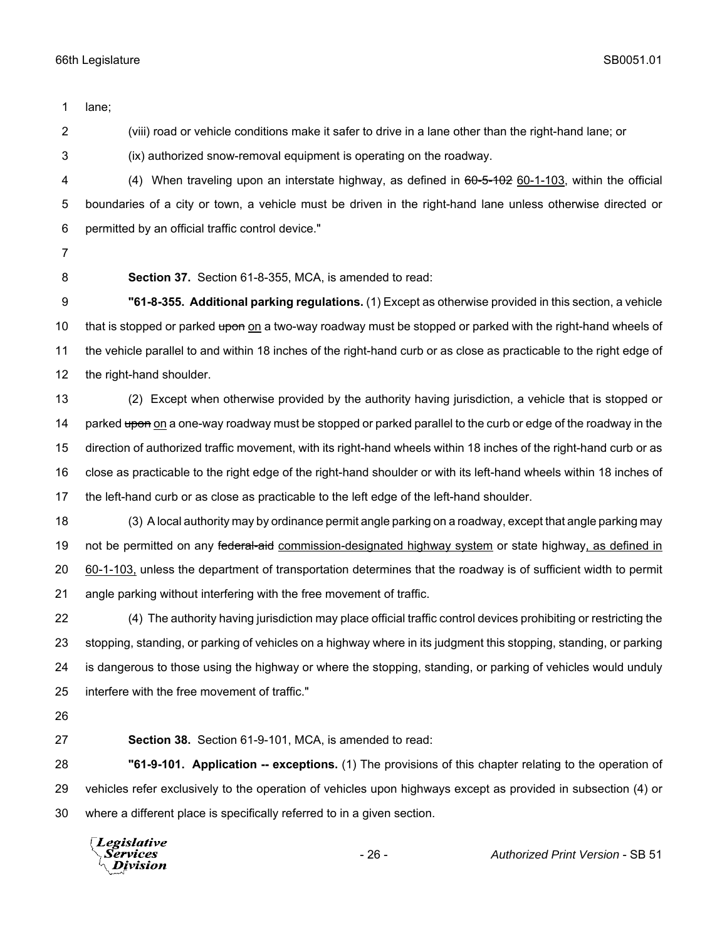lane; (viii) road or vehicle conditions make it safer to drive in a lane other than the right-hand lane; or (ix) authorized snow-removal equipment is operating on the roadway. 4 (4) When traveling upon an interstate highway, as defined in  $60-5-102$  60-1-103, within the official boundaries of a city or town, a vehicle must be driven in the right-hand lane unless otherwise directed or permitted by an official traffic control device." **Section 37.** Section 61-8-355, MCA, is amended to read: **"61-8-355. Additional parking regulations.** (1) Except as otherwise provided in this section, a vehicle 10 that is stopped or parked upon on a two-way roadway must be stopped or parked with the right-hand wheels of the vehicle parallel to and within 18 inches of the right-hand curb or as close as practicable to the right edge of the right-hand shoulder. (2) Except when otherwise provided by the authority having jurisdiction, a vehicle that is stopped or 14 parked upon on a one-way roadway must be stopped or parked parallel to the curb or edge of the roadway in the direction of authorized traffic movement, with its right-hand wheels within 18 inches of the right-hand curb or as close as practicable to the right edge of the right-hand shoulder or with its left-hand wheels within 18 inches of the left-hand curb or as close as practicable to the left edge of the left-hand shoulder. (3) A local authority may by ordinance permit angle parking on a roadway, except that angle parking may 19 not be permitted on any federal-aid commission-designated highway system or state highway, as defined in 60-1-103, unless the department of transportation determines that the roadway is of sufficient width to permit angle parking without interfering with the free movement of traffic. (4) The authority having jurisdiction may place official traffic control devices prohibiting or restricting the stopping, standing, or parking of vehicles on a highway where in its judgment this stopping, standing, or parking is dangerous to those using the highway or where the stopping, standing, or parking of vehicles would unduly interfere with the free movement of traffic." **Section 38.** Section 61-9-101, MCA, is amended to read: **"61-9-101. Application -- exceptions.** (1) The provisions of this chapter relating to the operation of vehicles refer exclusively to the operation of vehicles upon highways except as provided in subsection (4) or where a different place is specifically referred to in a given section. **Legislative** Services Division

- 26 - *Authorized Print Version* - SB 51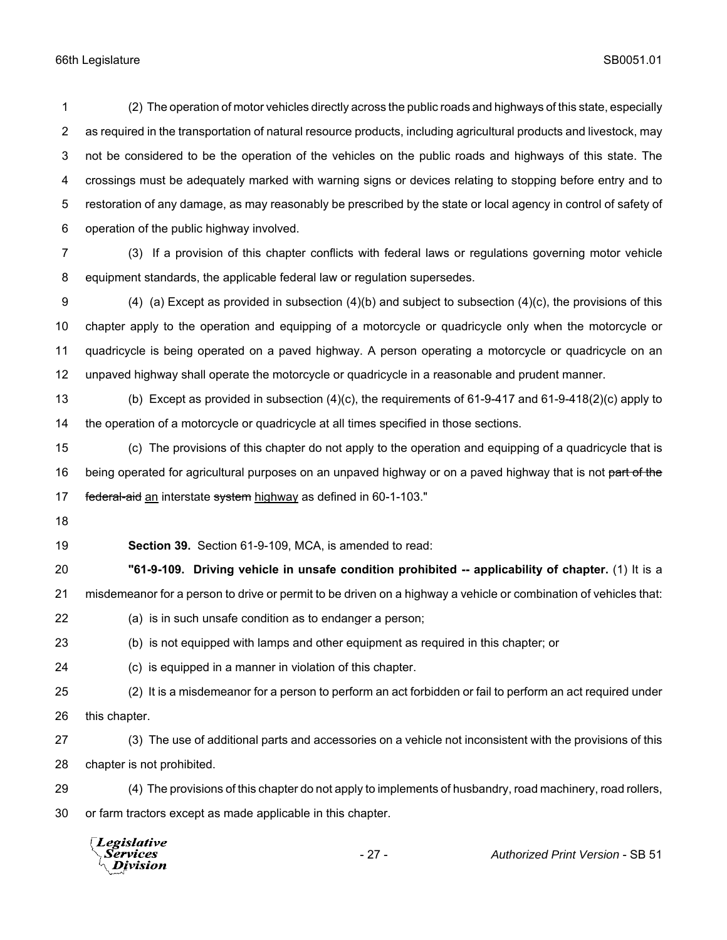(2) The operation of motor vehicles directly across the public roads and highways of this state, especially as required in the transportation of natural resource products, including agricultural products and livestock, may not be considered to be the operation of the vehicles on the public roads and highways of this state. The crossings must be adequately marked with warning signs or devices relating to stopping before entry and to restoration of any damage, as may reasonably be prescribed by the state or local agency in control of safety of operation of the public highway involved.

 (3) If a provision of this chapter conflicts with federal laws or regulations governing motor vehicle equipment standards, the applicable federal law or regulation supersedes.

 (4) (a) Except as provided in subsection (4)(b) and subject to subsection (4)(c), the provisions of this chapter apply to the operation and equipping of a motorcycle or quadricycle only when the motorcycle or quadricycle is being operated on a paved highway. A person operating a motorcycle or quadricycle on an unpaved highway shall operate the motorcycle or quadricycle in a reasonable and prudent manner.

 (b) Except as provided in subsection (4)(c), the requirements of 61-9-417 and 61-9-418(2)(c) apply to the operation of a motorcycle or quadricycle at all times specified in those sections.

 (c) The provisions of this chapter do not apply to the operation and equipping of a quadricycle that is 16 being operated for agricultural purposes on an unpaved highway or on a paved highway that is not part of the 17 federal-aid an interstate system highway as defined in 60-1-103."

**Section 39.** Section 61-9-109, MCA, is amended to read:

 **"61-9-109. Driving vehicle in unsafe condition prohibited -- applicability of chapter.** (1) It is a misdemeanor for a person to drive or permit to be driven on a highway a vehicle or combination of vehicles that:

- (a) is in such unsafe condition as to endanger a person;
- (b) is not equipped with lamps and other equipment as required in this chapter; or
- (c) is equipped in a manner in violation of this chapter.
- (2) It is a misdemeanor for a person to perform an act forbidden or fail to perform an act required under this chapter.
- (3) The use of additional parts and accessories on a vehicle not inconsistent with the provisions of this chapter is not prohibited.
- (4) The provisions of this chapter do not apply to implements of husbandry, road machinery, road rollers, or farm tractors except as made applicable in this chapter.

| <i>Legislative</i><br>Services<br>$\Lambda$ Division | $-27-$ | <b>Authorized Print Version - SB 51</b> |
|------------------------------------------------------|--------|-----------------------------------------|
|                                                      |        |                                         |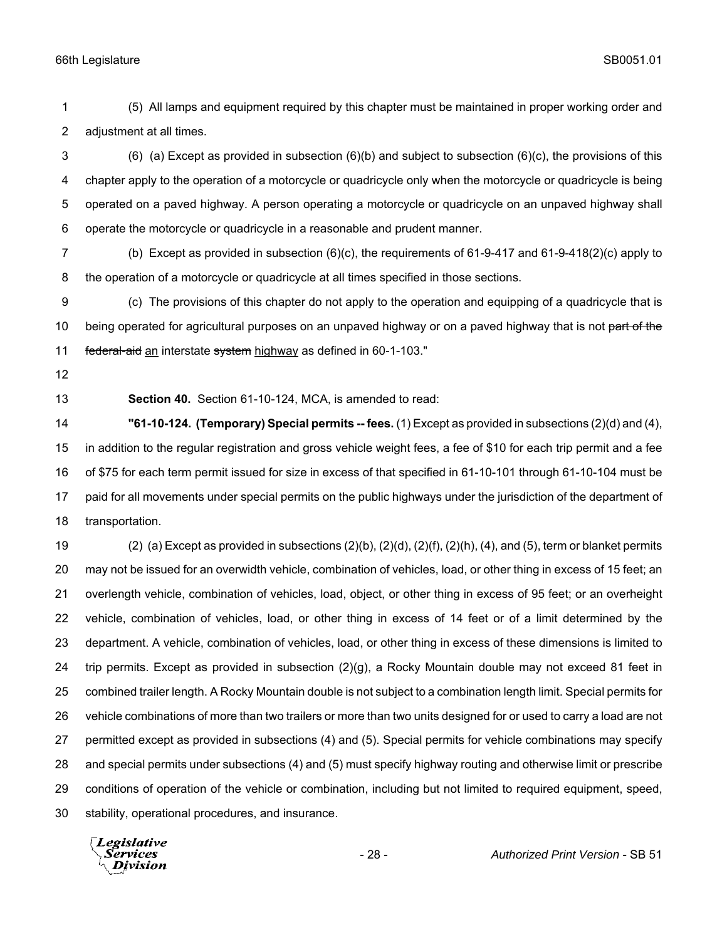(5) All lamps and equipment required by this chapter must be maintained in proper working order and adjustment at all times.

 (6) (a) Except as provided in subsection (6)(b) and subject to subsection (6)(c), the provisions of this chapter apply to the operation of a motorcycle or quadricycle only when the motorcycle or quadricycle is being operated on a paved highway. A person operating a motorcycle or quadricycle on an unpaved highway shall operate the motorcycle or quadricycle in a reasonable and prudent manner.

 (b) Except as provided in subsection (6)(c), the requirements of 61-9-417 and 61-9-418(2)(c) apply to the operation of a motorcycle or quadricycle at all times specified in those sections.

 (c) The provisions of this chapter do not apply to the operation and equipping of a quadricycle that is 10 being operated for agricultural purposes on an unpaved highway or on a paved highway that is not part of the 11 federal-aid an interstate system highway as defined in 60-1-103."

**Section 40.** Section 61-10-124, MCA, is amended to read:

 **"61-10-124. (Temporary) Special permits -- fees.** (1) Except as provided in subsections (2)(d) and (4), in addition to the regular registration and gross vehicle weight fees, a fee of \$10 for each trip permit and a fee of \$75 for each term permit issued for size in excess of that specified in 61-10-101 through 61-10-104 must be paid for all movements under special permits on the public highways under the jurisdiction of the department of transportation.

 (2) (a) Except as provided in subsections (2)(b), (2)(d), (2)(f), (2)(h), (4), and (5), term or blanket permits may not be issued for an overwidth vehicle, combination of vehicles, load, or other thing in excess of 15 feet; an overlength vehicle, combination of vehicles, load, object, or other thing in excess of 95 feet; or an overheight vehicle, combination of vehicles, load, or other thing in excess of 14 feet or of a limit determined by the department. A vehicle, combination of vehicles, load, or other thing in excess of these dimensions is limited to trip permits. Except as provided in subsection (2)(g), a Rocky Mountain double may not exceed 81 feet in combined trailer length. A Rocky Mountain double is not subject to a combination length limit. Special permits for vehicle combinations of more than two trailers or more than two units designed for or used to carry a load are not permitted except as provided in subsections (4) and (5). Special permits for vehicle combinations may specify and special permits under subsections (4) and (5) must specify highway routing and otherwise limit or prescribe conditions of operation of the vehicle or combination, including but not limited to required equipment, speed, stability, operational procedures, and insurance.

Legislative *Services* **Division**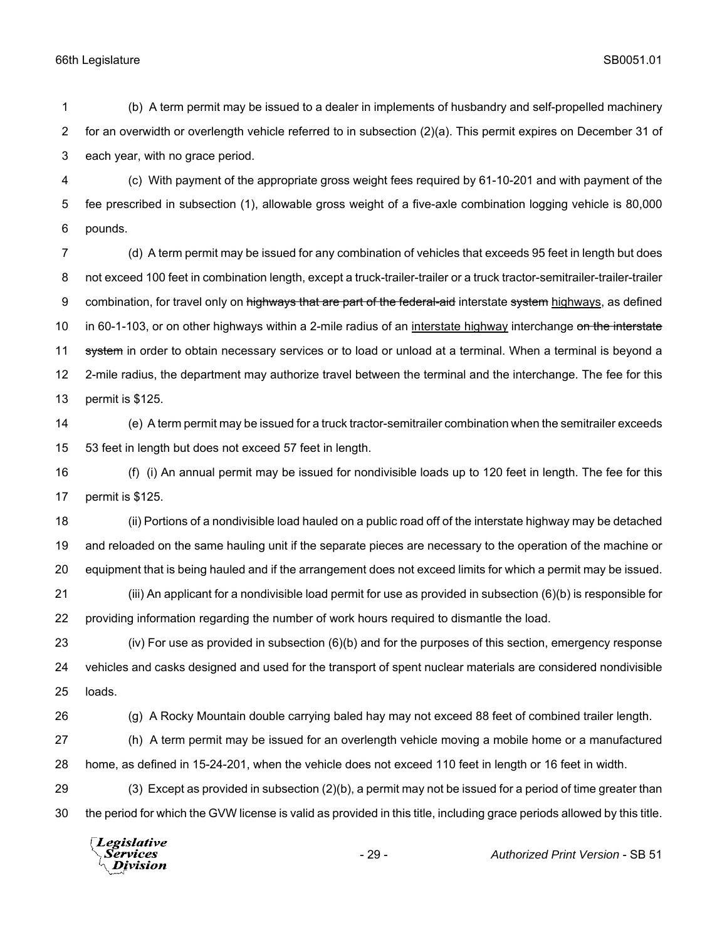(b) A term permit may be issued to a dealer in implements of husbandry and self-propelled machinery for an overwidth or overlength vehicle referred to in subsection (2)(a). This permit expires on December 31 of each year, with no grace period.

 (c) With payment of the appropriate gross weight fees required by 61-10-201 and with payment of the fee prescribed in subsection (1), allowable gross weight of a five-axle combination logging vehicle is 80,000 pounds.

 (d) A term permit may be issued for any combination of vehicles that exceeds 95 feet in length but does 8 not exceed 100 feet in combination length, except a truck-trailer-trailer or a truck tractor-semitrailer-trailer-trailer 9 combination, for travel only on highways that are part of the federal-aid interstate system highways, as defined 10 in 60-1-103, or on other highways within a 2-mile radius of an interstate highway interchange on the interstate 11 system in order to obtain necessary services or to load or unload at a terminal. When a terminal is beyond a 2-mile radius, the department may authorize travel between the terminal and the interchange. The fee for this permit is \$125.

 (e) A term permit may be issued for a truck tractor-semitrailer combination when the semitrailer exceeds 53 feet in length but does not exceed 57 feet in length.

 (f) (i) An annual permit may be issued for nondivisible loads up to 120 feet in length. The fee for this permit is \$125.

 (ii) Portions of a nondivisible load hauled on a public road off of the interstate highway may be detached and reloaded on the same hauling unit if the separate pieces are necessary to the operation of the machine or equipment that is being hauled and if the arrangement does not exceed limits for which a permit may be issued. (iii) An applicant for a nondivisible load permit for use as provided in subsection (6)(b) is responsible for

providing information regarding the number of work hours required to dismantle the load.

 (iv) For use as provided in subsection (6)(b) and for the purposes of this section, emergency response vehicles and casks designed and used for the transport of spent nuclear materials are considered nondivisible loads.

(g) A Rocky Mountain double carrying baled hay may not exceed 88 feet of combined trailer length.

 (h) A term permit may be issued for an overlength vehicle moving a mobile home or a manufactured home, as defined in 15-24-201, when the vehicle does not exceed 110 feet in length or 16 feet in width.

 (3) Except as provided in subsection (2)(b), a permit may not be issued for a period of time greater than the period for which the GVW license is valid as provided in this title, including grace periods allowed by this title.

Legislative Services Division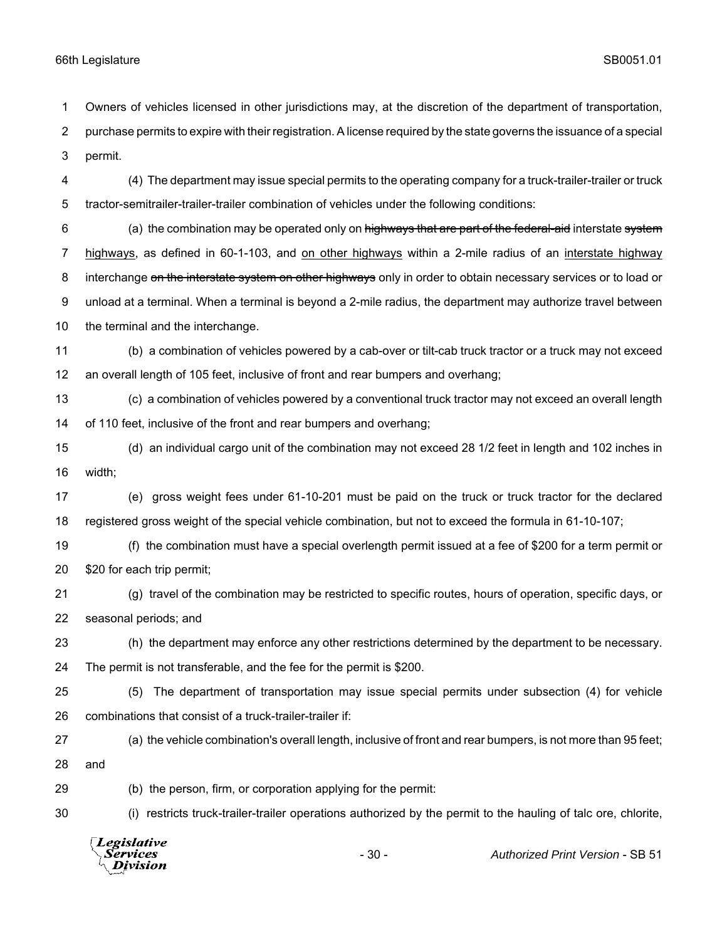Owners of vehicles licensed in other jurisdictions may, at the discretion of the department of transportation,

 purchase permits to expire with their registration. A license required by the state governs the issuance of a special permit.

 (4) The department may issue special permits to the operating company for a truck-trailer-trailer or truck tractor-semitrailer-trailer-trailer combination of vehicles under the following conditions:

6 (a) the combination may be operated only on highways that are part of the federal-aid interstate system highways, as defined in 60-1-103, and on other highways within a 2-mile radius of an interstate highway 8 interchange on the interstate system on other highways only in order to obtain necessary services or to load or unload at a terminal. When a terminal is beyond a 2-mile radius, the department may authorize travel between the terminal and the interchange.

- (b) a combination of vehicles powered by a cab-over or tilt-cab truck tractor or a truck may not exceed an overall length of 105 feet, inclusive of front and rear bumpers and overhang;
- (c) a combination of vehicles powered by a conventional truck tractor may not exceed an overall length of 110 feet, inclusive of the front and rear bumpers and overhang;
- (d) an individual cargo unit of the combination may not exceed 28 1/2 feet in length and 102 inches in width;
- (e) gross weight fees under 61-10-201 must be paid on the truck or truck tractor for the declared registered gross weight of the special vehicle combination, but not to exceed the formula in 61-10-107;
- (f) the combination must have a special overlength permit issued at a fee of \$200 for a term permit or \$20 for each trip permit;
- (g) travel of the combination may be restricted to specific routes, hours of operation, specific days, or seasonal periods; and
- (h) the department may enforce any other restrictions determined by the department to be necessary.

The permit is not transferable, and the fee for the permit is \$200.

- (5) The department of transportation may issue special permits under subsection (4) for vehicle combinations that consist of a truck-trailer-trailer if:
- (a) the vehicle combination's overall length, inclusive of front and rear bumpers, is not more than 95 feet; and

(b) the person, firm, or corporation applying for the permit:

(i) restricts truck-trailer-trailer operations authorized by the permit to the hauling of talc ore, chlorite,

Legislative Services - 30 - *Authorized Print Version* - SB 51**Division**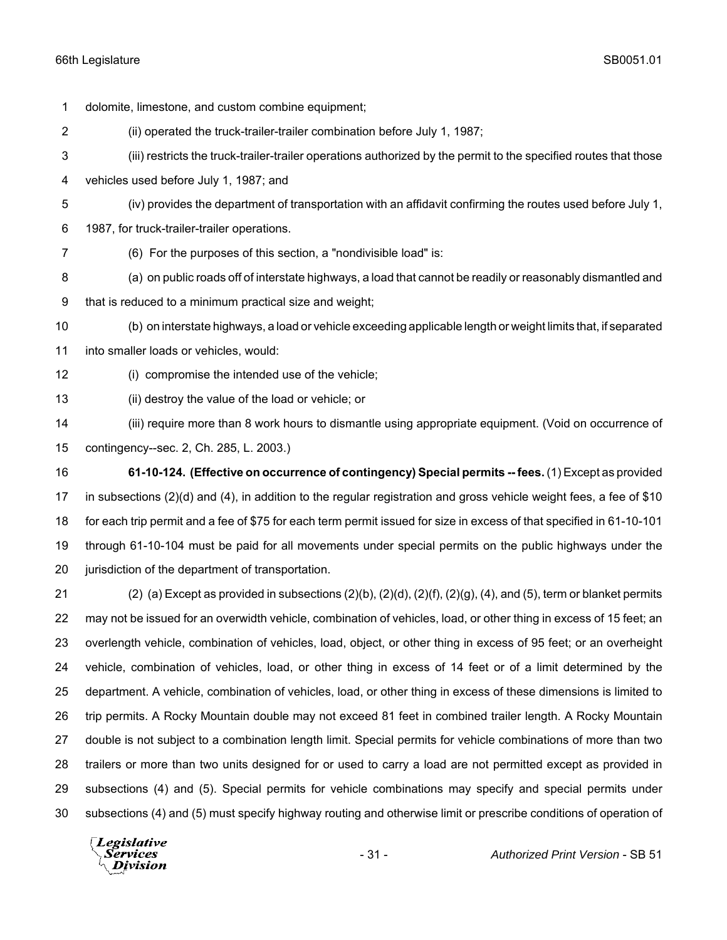dolomite, limestone, and custom combine equipment; (ii) operated the truck-trailer-trailer combination before July 1, 1987; (iii) restricts the truck-trailer-trailer operations authorized by the permit to the specified routes that those vehicles used before July 1, 1987; and (iv) provides the department of transportation with an affidavit confirming the routes used before July 1, 1987, for truck-trailer-trailer operations. (6) For the purposes of this section, a "nondivisible load" is: (a) on public roads off of interstate highways, a load that cannot be readily or reasonably dismantled and that is reduced to a minimum practical size and weight; (b) on interstate highways, a load or vehicle exceeding applicable length or weight limits that, if separated into smaller loads or vehicles, would: (i) compromise the intended use of the vehicle;

(ii) destroy the value of the load or vehicle; or

 (iii) require more than 8 work hours to dismantle using appropriate equipment. (Void on occurrence of contingency--sec. 2, Ch. 285, L. 2003.)

 **61-10-124. (Effective on occurrence of contingency) Special permits -- fees.** (1) Except as provided in subsections (2)(d) and (4), in addition to the regular registration and gross vehicle weight fees, a fee of \$10 for each trip permit and a fee of \$75 for each term permit issued for size in excess of that specified in 61-10-101 through 61-10-104 must be paid for all movements under special permits on the public highways under the 20 iurisdiction of the department of transportation.

 (2) (a) Except as provided in subsections (2)(b), (2)(d), (2)(f), (2)(g), (4), and (5), term or blanket permits may not be issued for an overwidth vehicle, combination of vehicles, load, or other thing in excess of 15 feet; an overlength vehicle, combination of vehicles, load, object, or other thing in excess of 95 feet; or an overheight vehicle, combination of vehicles, load, or other thing in excess of 14 feet or of a limit determined by the department. A vehicle, combination of vehicles, load, or other thing in excess of these dimensions is limited to trip permits. A Rocky Mountain double may not exceed 81 feet in combined trailer length. A Rocky Mountain double is not subject to a combination length limit. Special permits for vehicle combinations of more than two trailers or more than two units designed for or used to carry a load are not permitted except as provided in subsections (4) and (5). Special permits for vehicle combinations may specify and special permits under subsections (4) and (5) must specify highway routing and otherwise limit or prescribe conditions of operation of

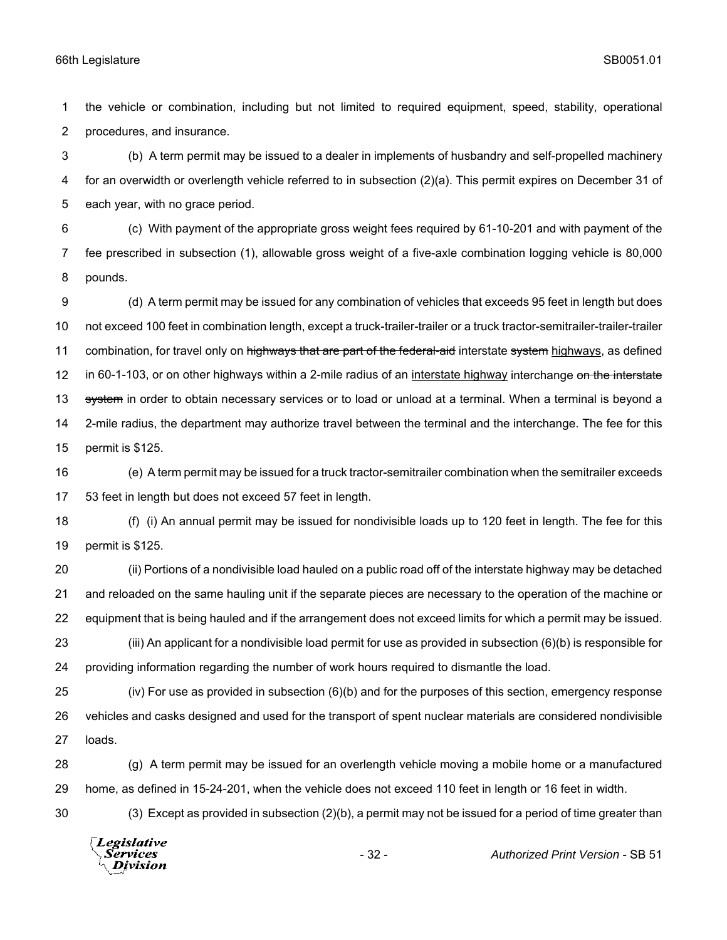the vehicle or combination, including but not limited to required equipment, speed, stability, operational procedures, and insurance.

 (b) A term permit may be issued to a dealer in implements of husbandry and self-propelled machinery for an overwidth or overlength vehicle referred to in subsection (2)(a). This permit expires on December 31 of each year, with no grace period.

 (c) With payment of the appropriate gross weight fees required by 61-10-201 and with payment of the fee prescribed in subsection (1), allowable gross weight of a five-axle combination logging vehicle is 80,000 pounds.

 (d) A term permit may be issued for any combination of vehicles that exceeds 95 feet in length but does not exceed 100 feet in combination length, except a truck-trailer-trailer or a truck tractor-semitrailer-trailer-trailer 11 combination, for travel only on highways that are part of the federal-aid interstate system highways, as defined 12 in 60-1-103, or on other highways within a 2-mile radius of an interstate highway interchange on the interstate 13 system in order to obtain necessary services or to load or unload at a terminal. When a terminal is beyond a 2-mile radius, the department may authorize travel between the terminal and the interchange. The fee for this permit is \$125.

 (e) A term permit may be issued for a truck tractor-semitrailer combination when the semitrailer exceeds 53 feet in length but does not exceed 57 feet in length.

 (f) (i) An annual permit may be issued for nondivisible loads up to 120 feet in length. The fee for this permit is \$125.

 (ii) Portions of a nondivisible load hauled on a public road off of the interstate highway may be detached and reloaded on the same hauling unit if the separate pieces are necessary to the operation of the machine or equipment that is being hauled and if the arrangement does not exceed limits for which a permit may be issued. (iii) An applicant for a nondivisible load permit for use as provided in subsection (6)(b) is responsible for

providing information regarding the number of work hours required to dismantle the load.

 (iv) For use as provided in subsection (6)(b) and for the purposes of this section, emergency response vehicles and casks designed and used for the transport of spent nuclear materials are considered nondivisible loads.

 (g) A term permit may be issued for an overlength vehicle moving a mobile home or a manufactured home, as defined in 15-24-201, when the vehicle does not exceed 110 feet in length or 16 feet in width.

(3) Except as provided in subsection (2)(b), a permit may not be issued for a period of time greater than

Legislative Services **Division**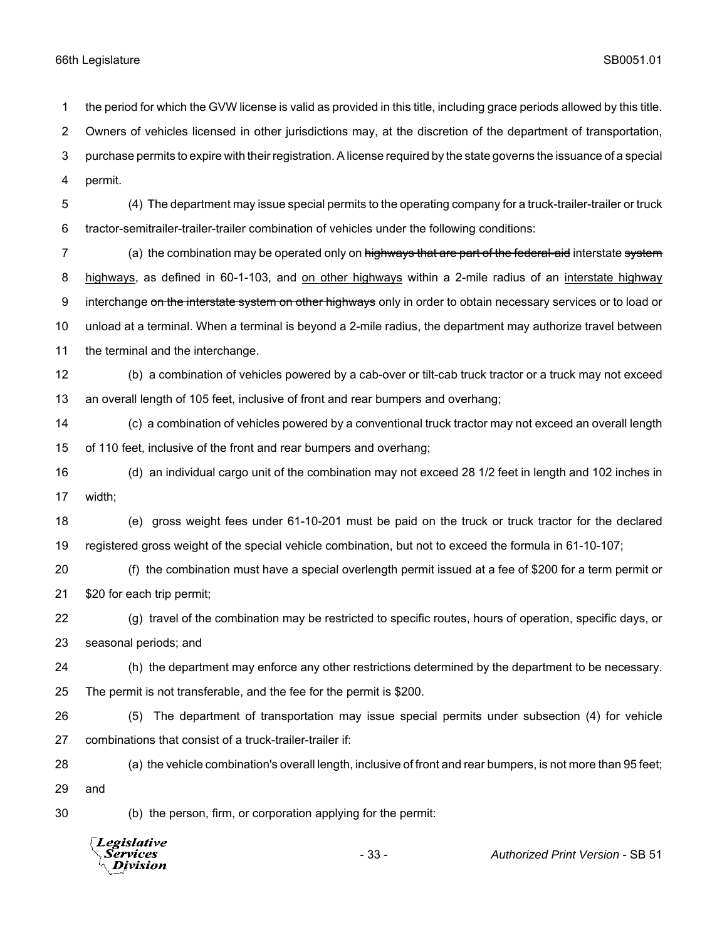*Services* **Division** 

 the period for which the GVW license is valid as provided in this title, including grace periods allowed by this title. Owners of vehicles licensed in other jurisdictions may, at the discretion of the department of transportation, purchase permits to expire with their registration. A license required by the state governs the issuance of a special permit. (4) The department may issue special permits to the operating company for a truck-trailer-trailer or truck tractor-semitrailer-trailer-trailer combination of vehicles under the following conditions: 7 (a) the combination may be operated only on highways that are part of the federal-aid interstate system highways, as defined in 60-1-103, and on other highways within a 2-mile radius of an interstate highway 9 interchange on the interstate system on other highways only in order to obtain necessary services or to load or unload at a terminal. When a terminal is beyond a 2-mile radius, the department may authorize travel between the terminal and the interchange. (b) a combination of vehicles powered by a cab-over or tilt-cab truck tractor or a truck may not exceed an overall length of 105 feet, inclusive of front and rear bumpers and overhang; (c) a combination of vehicles powered by a conventional truck tractor may not exceed an overall length of 110 feet, inclusive of the front and rear bumpers and overhang; (d) an individual cargo unit of the combination may not exceed 28 1/2 feet in length and 102 inches in width; (e) gross weight fees under 61-10-201 must be paid on the truck or truck tractor for the declared registered gross weight of the special vehicle combination, but not to exceed the formula in 61-10-107; (f) the combination must have a special overlength permit issued at a fee of \$200 for a term permit or \$20 for each trip permit; (g) travel of the combination may be restricted to specific routes, hours of operation, specific days, or seasonal periods; and (h) the department may enforce any other restrictions determined by the department to be necessary. The permit is not transferable, and the fee for the permit is \$200. (5) The department of transportation may issue special permits under subsection (4) for vehicle combinations that consist of a truck-trailer-trailer if: (a) the vehicle combination's overall length, inclusive of front and rear bumpers, is not more than 95 feet; and (b) the person, firm, or corporation applying for the permit: Legislative

- 33 - *Authorized Print Version* - SB 51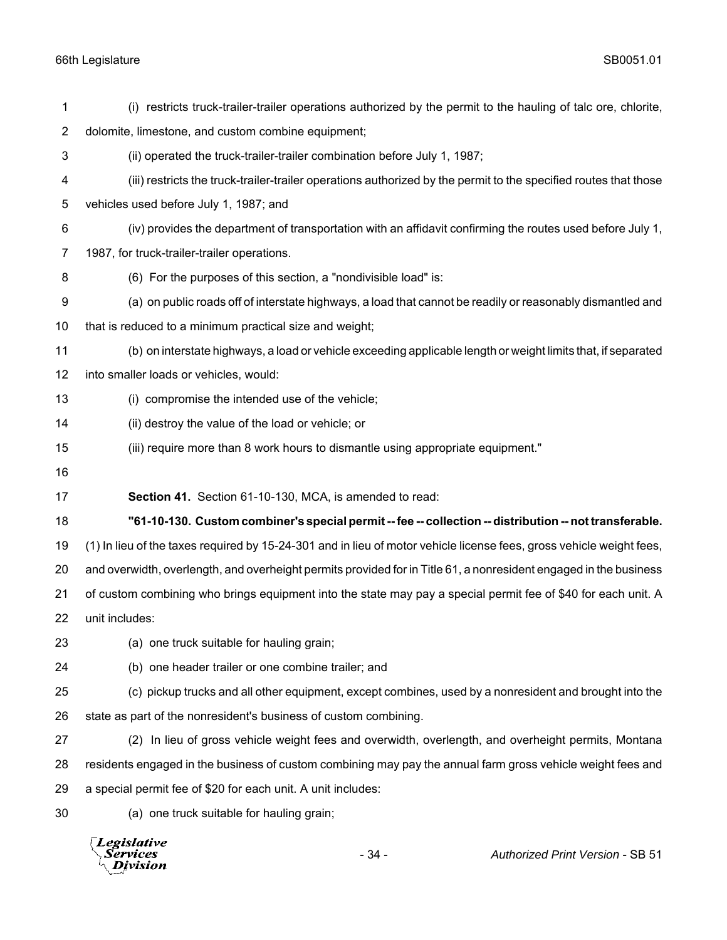|                | Legislative<br>$-34-$<br><i>Services</i><br><b>Authorized Print Version - SB 51</b><br><b>Division</b>                                                                |  |  |
|----------------|-----------------------------------------------------------------------------------------------------------------------------------------------------------------------|--|--|
| 30             | (a) one truck suitable for hauling grain;                                                                                                                             |  |  |
| 29             | a special permit fee of \$20 for each unit. A unit includes:                                                                                                          |  |  |
| 28             | residents engaged in the business of custom combining may pay the annual farm gross vehicle weight fees and                                                           |  |  |
| 27             | (2) In lieu of gross vehicle weight fees and overwidth, overlength, and overheight permits, Montana                                                                   |  |  |
| 26             | state as part of the nonresident's business of custom combining.                                                                                                      |  |  |
| 25             | (c) pickup trucks and all other equipment, except combines, used by a nonresident and brought into the                                                                |  |  |
| 24             | (b) one header trailer or one combine trailer; and                                                                                                                    |  |  |
| 23             | (a) one truck suitable for hauling grain;                                                                                                                             |  |  |
| 22             | unit includes:                                                                                                                                                        |  |  |
| 21             | of custom combining who brings equipment into the state may pay a special permit fee of \$40 for each unit. A                                                         |  |  |
| 20             | and overwidth, overlength, and overheight permits provided for in Title 61, a nonresident engaged in the business                                                     |  |  |
| 19             | (1) In lieu of the taxes required by 15-24-301 and in lieu of motor vehicle license fees, gross vehicle weight fees,                                                  |  |  |
| 18             | "61-10-130. Custom combiner's special permit -- fee -- collection -- distribution -- not transferable.                                                                |  |  |
| 17             | Section 41. Section 61-10-130, MCA, is amended to read:                                                                                                               |  |  |
| 16             |                                                                                                                                                                       |  |  |
| 15             | (iii) require more than 8 work hours to dismantle using appropriate equipment."                                                                                       |  |  |
| 14             | (ii) destroy the value of the load or vehicle; or                                                                                                                     |  |  |
| 13             | (i) compromise the intended use of the vehicle;                                                                                                                       |  |  |
| 12             | into smaller loads or vehicles, would:                                                                                                                                |  |  |
| 11             | (b) on interstate highways, a load or vehicle exceeding applicable length or weight limits that, if separated                                                         |  |  |
| 9<br>10        | (a) on public roads off of interstate highways, a load that cannot be readily or reasonably dismantled and<br>that is reduced to a minimum practical size and weight; |  |  |
| 8              | (6) For the purposes of this section, a "nondivisible load" is:                                                                                                       |  |  |
| $\overline{7}$ | 1987, for truck-trailer-trailer operations.                                                                                                                           |  |  |
| 6              | (iv) provides the department of transportation with an affidavit confirming the routes used before July 1,                                                            |  |  |
| 5              | vehicles used before July 1, 1987; and                                                                                                                                |  |  |
| 4              | (iii) restricts the truck-trailer-trailer operations authorized by the permit to the specified routes that those                                                      |  |  |
| $\mathbf{3}$   | (ii) operated the truck-trailer-trailer combination before July 1, 1987;                                                                                              |  |  |
| $\overline{2}$ | dolomite, limestone, and custom combine equipment;                                                                                                                    |  |  |
| 1              | (i) restricts truck-trailer-trailer operations authorized by the permit to the hauling of talc ore, chlorite,                                                         |  |  |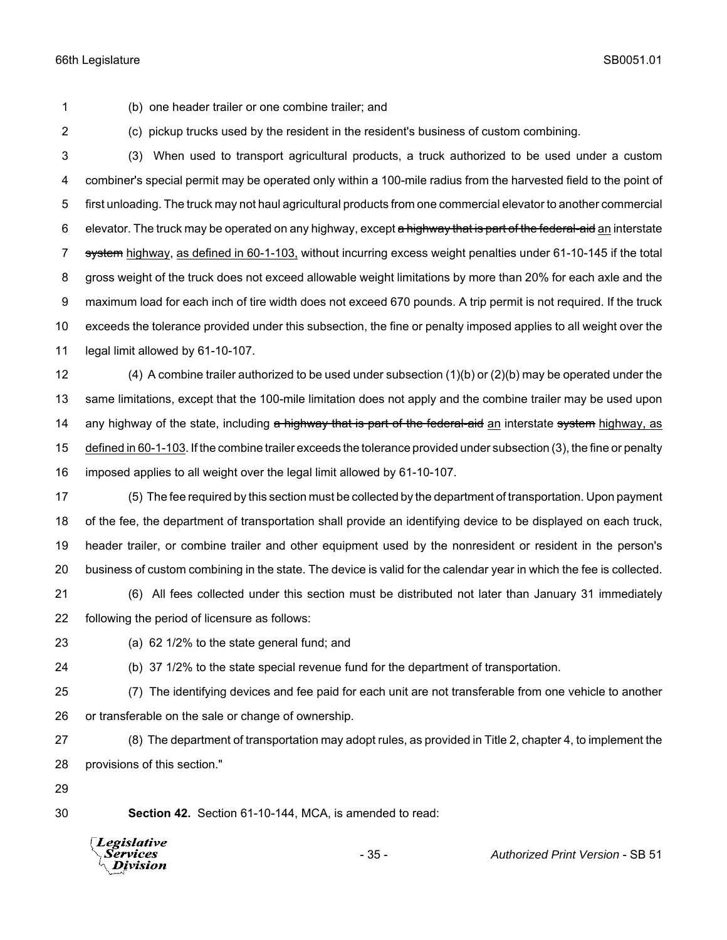(b) one header trailer or one combine trailer; and

(c) pickup trucks used by the resident in the resident's business of custom combining.

 (3) When used to transport agricultural products, a truck authorized to be used under a custom combiner's special permit may be operated only within a 100-mile radius from the harvested field to the point of first unloading. The truck may not haul agricultural products from one commercial elevator to another commercial 6 elevator. The truck may be operated on any highway, except a highway that is part of the federal-aid an interstate 7 system highway, as defined in 60-1-103, without incurring excess weight penalties under 61-10-145 if the total gross weight of the truck does not exceed allowable weight limitations by more than 20% for each axle and the maximum load for each inch of tire width does not exceed 670 pounds. A trip permit is not required. If the truck exceeds the tolerance provided under this subsection, the fine or penalty imposed applies to all weight over the legal limit allowed by 61-10-107.

 (4) A combine trailer authorized to be used under subsection (1)(b) or (2)(b) may be operated under the same limitations, except that the 100-mile limitation does not apply and the combine trailer may be used upon 14 any highway of the state, including a highway that is part of the federal-aid an interstate system highway, as defined in 60-1-103. If the combine trailer exceeds the tolerance provided under subsection (3), the fine or penalty imposed applies to all weight over the legal limit allowed by 61-10-107.

 (5) The fee required by this section must be collected by the department of transportation. Upon payment of the fee, the department of transportation shall provide an identifying device to be displayed on each truck, header trailer, or combine trailer and other equipment used by the nonresident or resident in the person's business of custom combining in the state. The device is valid for the calendar year in which the fee is collected.

 (6) All fees collected under this section must be distributed not later than January 31 immediately following the period of licensure as follows:

(a) 62 1/2% to the state general fund; and

(b) 37 1/2% to the state special revenue fund for the department of transportation.

 (7) The identifying devices and fee paid for each unit are not transferable from one vehicle to another or transferable on the sale or change of ownership.

 (8) The department of transportation may adopt rules, as provided in Title 2, chapter 4, to implement the provisions of this section."

**Section 42.** Section 61-10-144, MCA, is amended to read:

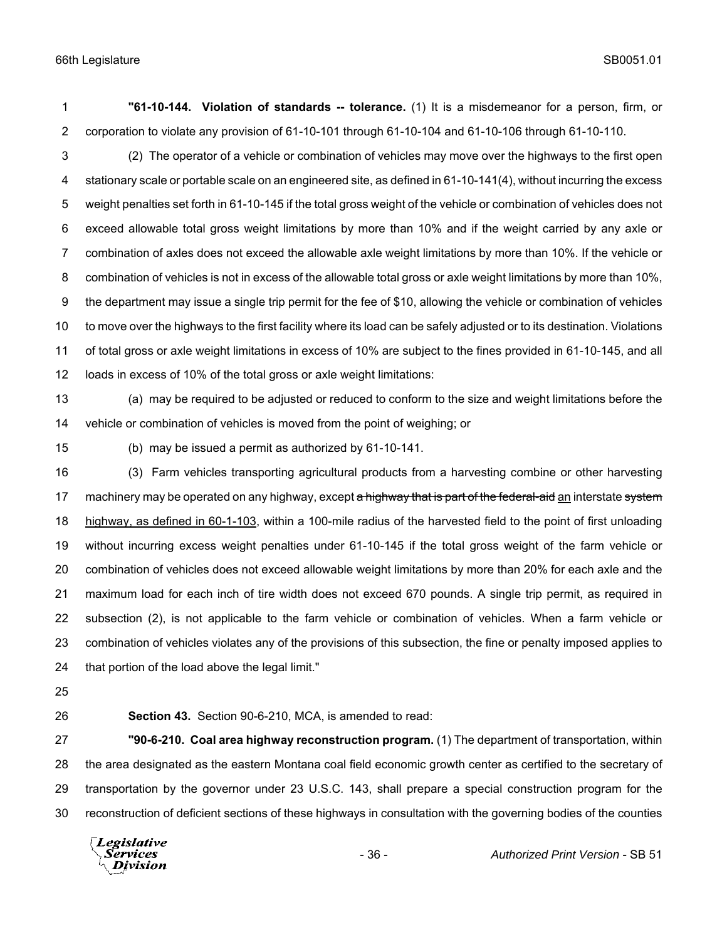**"61-10-144. Violation of standards -- tolerance.** (1) It is a misdemeanor for a person, firm, or corporation to violate any provision of 61-10-101 through 61-10-104 and 61-10-106 through 61-10-110.

 (2) The operator of a vehicle or combination of vehicles may move over the highways to the first open stationary scale or portable scale on an engineered site, as defined in 61-10-141(4), without incurring the excess weight penalties set forth in 61-10-145 if the total gross weight of the vehicle or combination of vehicles does not exceed allowable total gross weight limitations by more than 10% and if the weight carried by any axle or combination of axles does not exceed the allowable axle weight limitations by more than 10%. If the vehicle or combination of vehicles is not in excess of the allowable total gross or axle weight limitations by more than 10%, the department may issue a single trip permit for the fee of \$10, allowing the vehicle or combination of vehicles to move over the highways to the first facility where its load can be safely adjusted or to its destination. Violations of total gross or axle weight limitations in excess of 10% are subject to the fines provided in 61-10-145, and all loads in excess of 10% of the total gross or axle weight limitations:

 (a) may be required to be adjusted or reduced to conform to the size and weight limitations before the vehicle or combination of vehicles is moved from the point of weighing; or

(b) may be issued a permit as authorized by 61-10-141.

 (3) Farm vehicles transporting agricultural products from a harvesting combine or other harvesting 17 machinery may be operated on any highway, except a highway that is part of the federal-aid an interstate system 18 highway, as defined in 60-1-103, within a 100-mile radius of the harvested field to the point of first unloading without incurring excess weight penalties under 61-10-145 if the total gross weight of the farm vehicle or combination of vehicles does not exceed allowable weight limitations by more than 20% for each axle and the maximum load for each inch of tire width does not exceed 670 pounds. A single trip permit, as required in subsection (2), is not applicable to the farm vehicle or combination of vehicles. When a farm vehicle or combination of vehicles violates any of the provisions of this subsection, the fine or penalty imposed applies to that portion of the load above the legal limit."

- 
- 

**Section 43.** Section 90-6-210, MCA, is amended to read:

 **"90-6-210. Coal area highway reconstruction program.** (1) The department of transportation, within the area designated as the eastern Montana coal field economic growth center as certified to the secretary of transportation by the governor under 23 U.S.C. 143, shall prepare a special construction program for the reconstruction of deficient sections of these highways in consultation with the governing bodies of the counties